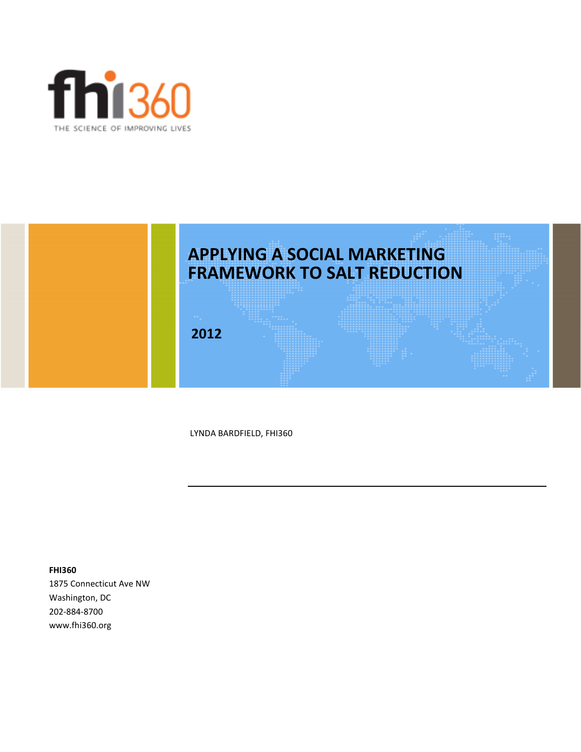



LYNDA BARDFIELD, FHI360

**FHI360** 1875 Connecticut Ave NW Washington, DC 202-884-8700 www.fhi360.org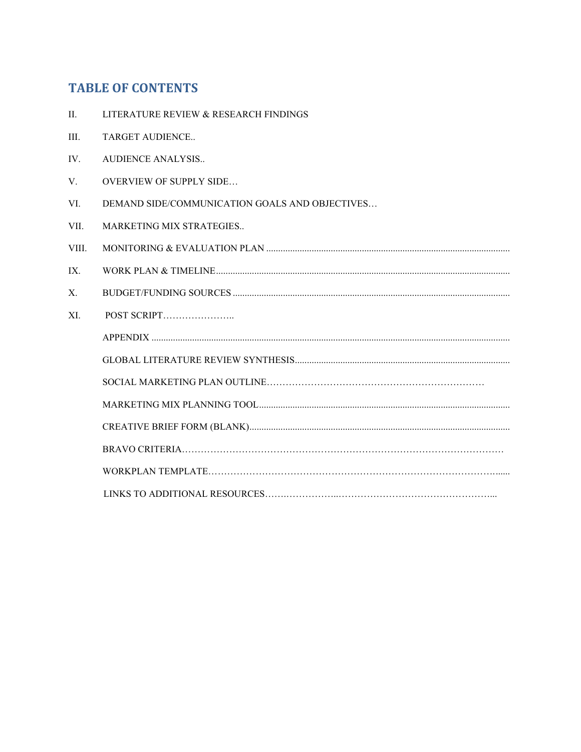### **TABLE OF CONTENTS**

- II. LITERATURE REVIEW & RESEARCH FINDINGS
- III. TARGET AUDIENCE..
- IV. AUDIENCE ANALYSIS..
- V. OVERVIEW OF SUPPLY SIDE…
- VI. DEMAND SIDE/COMMUNICATION GOALS AND OBJECTIVES…
- VII. MARKETING MIX STRATEGIES..
- VIII. MONITORING & EVALUATION PLAN ...................................................................................................... IX. WORK PLAN & TIMELINE...........................................................................................................................
- X. BUDGET/FUNDING SOURCES ....................................................................................................................
- XI. POST SCRIPT…………………..
	- APPENDIX ...................................................................................................................................................... GLOBAL LITERATURE REVIEW SYNTHESIS.......................................................................................... SOCIAL MARKETING PLAN OUTLINE…………………………………………………………… MARKETING MIX PLANNING TOOL.........................................................................................................
		- CREATIVE BRIEF FORM (BLANK)............................................................................................................. BRAVO CRITERIA…………………………………………………………………………………………
		- WORKPLAN TEMPLATE……………………………………………………………………………….......
		- LINKS TO ADDITIONAL RESOURCES…….……………..…………………………………………...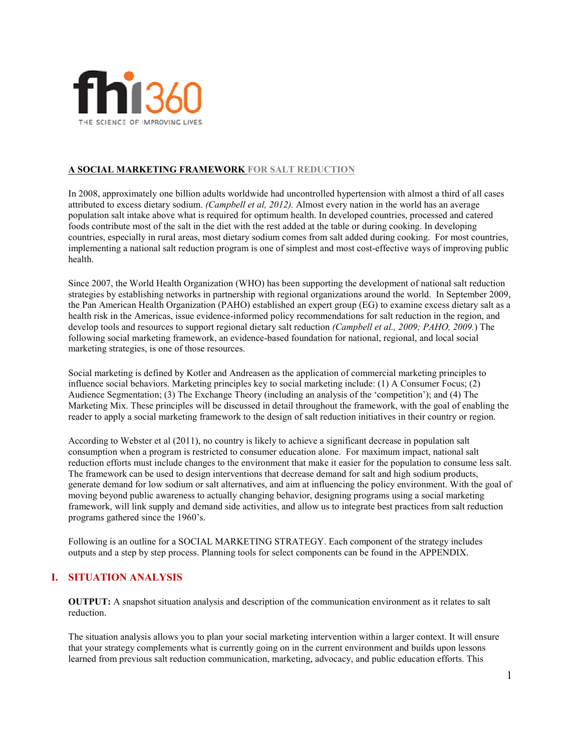

### **A SOCIAL MARKETING FRAMEWORK FOR SALT REDUCTION**

In 2008, approximately one billion adults worldwide had uncontrolled hypertension with almost a third of all cases attributed to excess dietary sodium. *(Campbell et al, 2012).* Almost every nation in the world has an average population salt intake above what is required for optimum health. In developed countries, processed and catered foods contribute most of the salt in the diet with the rest added at the table or during cooking. In developing countries, especially in rural areas, most dietary sodium comes from salt added during cooking. For most countries, implementing a national salt reduction program is one of simplest and most cost-effective ways of improving public health.

Since 2007, the World Health Organization (WHO) has been supporting the development of national salt reduction strategies by establishing networks in partnership with regional organizations around the world. In September 2009, the Pan American Health Organization (PAHO) established an expert group (EG) to examine excess dietary salt as a health risk in the Americas, issue evidence-informed policy recommendations for salt reduction in the region, and develop tools and resources to support regional dietary salt reduction *(Campbell et al., 2009; PAHO, 2009.*) The following social marketing framework, an evidence-based foundation for national, regional, and local social marketing strategies, is one of those resources.

Social marketing is defined by Kotler and Andreasen as the application of commercial marketing principles to influence social behaviors. Marketing principles key to social marketing include: (1) A Consumer Focus; (2) Audience Segmentation; (3) The Exchange Theory (including an analysis of the 'competition'); and (4) The Marketing Mix. These principles will be discussed in detail throughout the framework, with the goal of enabling the reader to apply a social marketing framework to the design of salt reduction initiatives in their country or region.

According to Webster et al (2011), no country is likely to achieve a significant decrease in population salt consumption when a program is restricted to consumer education alone. For maximum impact, national salt reduction efforts must include changes to the environment that make it easier for the population to consume less salt. The framework can be used to design interventions that decrease demand for salt and high sodium products, generate demand for low sodium or salt alternatives, and aim at influencing the policy environment. With the goal of moving beyond public awareness to actually changing behavior, designing programs using a social marketing framework, will link supply and demand side activities, and allow us to integrate best practices from salt reduction programs gathered since the 1960's.

Following is an outline for a SOCIAL MARKETING STRATEGY. Each component of the strategy includes outputs and a step by step process. Planning tools for select components can be found in the APPENDIX.

### **I. SITUATION ANALYSIS**

**OUTPUT:** A snapshot situation analysis and description of the communication environment as it relates to salt reduction.

The situation analysis allows you to plan your social marketing intervention within a larger context. It will ensure that your strategy complements what is currently going on in the current environment and builds upon lessons learned from previous salt reduction communication, marketing, advocacy, and public education efforts. This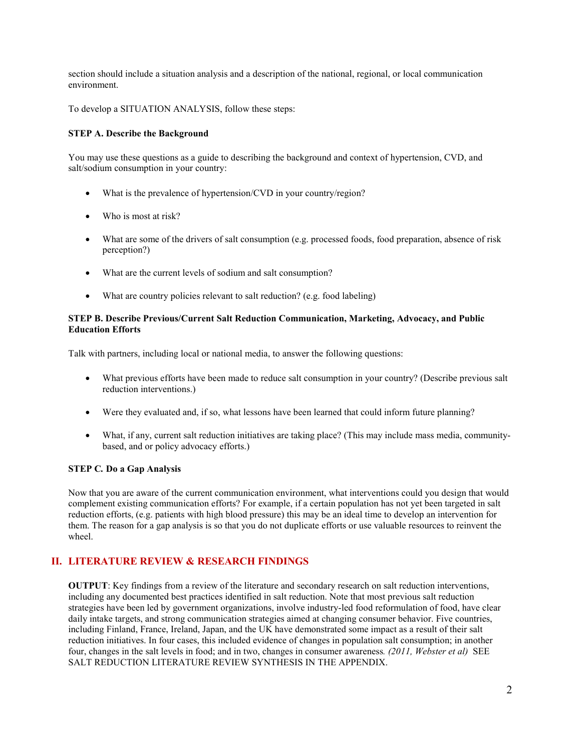section should include a situation analysis and a description of the national, regional, or local communication environment.

To develop a SITUATION ANALYSIS, follow these steps:

### **STEP A. Describe the Background**

You may use these questions as a guide to describing the background and context of hypertension, CVD, and salt/sodium consumption in your country:

- What is the prevalence of hypertension/CVD in your country/region?
- Who is most at risk?
- What are some of the drivers of salt consumption (e.g. processed foods, food preparation, absence of risk perception?)
- What are the current levels of sodium and salt consumption?
- What are country policies relevant to salt reduction? (e.g. food labeling)

### **STEP B. Describe Previous/Current Salt Reduction Communication, Marketing, Advocacy, and Public Education Efforts**

Talk with partners, including local or national media, to answer the following questions:

- What previous efforts have been made to reduce salt consumption in your country? (Describe previous salt reduction interventions.)
- Were they evaluated and, if so, what lessons have been learned that could inform future planning?
- What, if any, current salt reduction initiatives are taking place? (This may include mass media, communitybased, and or policy advocacy efforts.)

### **STEP C***.* **Do a Gap Analysis**

Now that you are aware of the current communication environment, what interventions could you design that would complement existing communication efforts? For example, if a certain population has not yet been targeted in salt reduction efforts, (e.g. patients with high blood pressure) this may be an ideal time to develop an intervention for them. The reason for a gap analysis is so that you do not duplicate efforts or use valuable resources to reinvent the wheel.

### **II. LITERATURE REVIEW & RESEARCH FINDINGS**

**OUTPUT**: Key findings from a review of the literature and secondary research on salt reduction interventions, including any documented best practices identified in salt reduction. Note that most previous salt reduction strategies have been led by government organizations, involve industry-led food reformulation of food, have clear daily intake targets, and strong communication strategies aimed at changing consumer behavior. Five countries, including Finland, France, Ireland, Japan, and the UK have demonstrated some impact as a result of their salt reduction initiatives. In four cases, this included evidence of changes in population salt consumption; in another four, changes in the salt levels in food; and in two, changes in consumer awareness*. (2011, Webster et al)* SEE SALT REDUCTION LITERATURE REVIEW SYNTHESIS IN THE APPENDIX.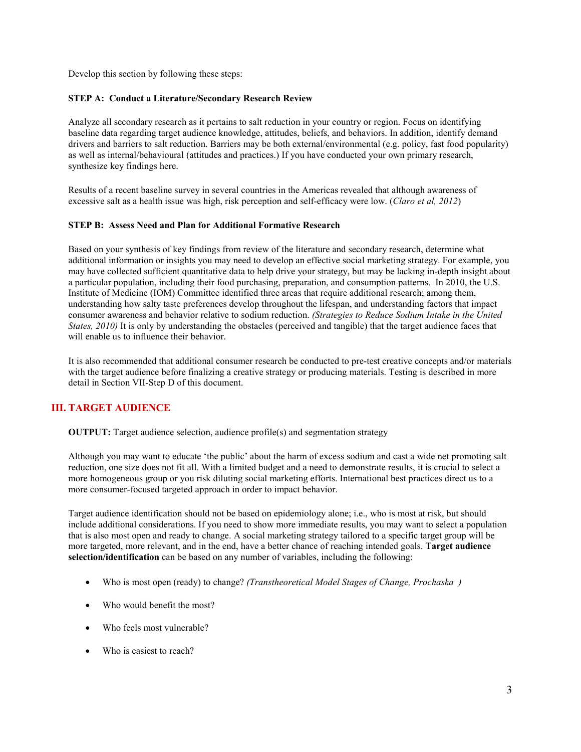Develop this section by following these steps:

### **STEP A: Conduct a Literature/Secondary Research Review**

Analyze all secondary research as it pertains to salt reduction in your country or region. Focus on identifying baseline data regarding target audience knowledge, attitudes, beliefs, and behaviors. In addition, identify demand drivers and barriers to salt reduction. Barriers may be both external/environmental (e.g. policy, fast food popularity) as well as internal/behavioural (attitudes and practices.) If you have conducted your own primary research, synthesize key findings here.

Results of a recent baseline survey in several countries in the Americas revealed that although awareness of excessive salt as a health issue was high, risk perception and self-efficacy were low. (*Claro et al, 2012*)

### **STEP B: Assess Need and Plan for Additional Formative Research**

Based on your synthesis of key findings from review of the literature and secondary research, determine what additional information or insights you may need to develop an effective social marketing strategy. For example, you may have collected sufficient quantitative data to help drive your strategy, but may be lacking in-depth insight about a particular population, including their food purchasing, preparation, and consumption patterns. In 2010, the U.S. Institute of Medicine (IOM) Committee identified three areas that require additional research; among them, understanding how salty taste preferences develop throughout the lifespan, and understanding factors that impact consumer awareness and behavior relative to sodium reduction. *(Strategies to Reduce Sodium Intake in the United States, 2010)* It is only by understanding the obstacles (perceived and tangible) that the target audience faces that will enable us to influence their behavior.

It is also recommended that additional consumer research be conducted to pre-test creative concepts and/or materials with the target audience before finalizing a creative strategy or producing materials. Testing is described in more detail in Section VII-Step D of this document.

### **III. TARGET AUDIENCE**

**OUTPUT:** Target audience selection, audience profile(s) and segmentation strategy

Although you may want to educate 'the public' about the harm of excess sodium and cast a wide net promoting salt reduction, one size does not fit all. With a limited budget and a need to demonstrate results, it is crucial to select a more homogeneous group or you risk diluting social marketing efforts. International best practices direct us to a more consumer-focused targeted approach in order to impact behavior.

Target audience identification should not be based on epidemiology alone; i.e., who is most at risk, but should include additional considerations. If you need to show more immediate results, you may want to select a population that is also most open and ready to change. A social marketing strategy tailored to a specific target group will be more targeted, more relevant, and in the end, have a better chance of reaching intended goals. **Target audience selection/identification** can be based on any number of variables, including the following:

- Who is most open (ready) to change? *(Transtheoretical Model Stages of Change, Prochaska )*
- Who would benefit the most?
- Who feels most vulnerable?
- Who is easiest to reach?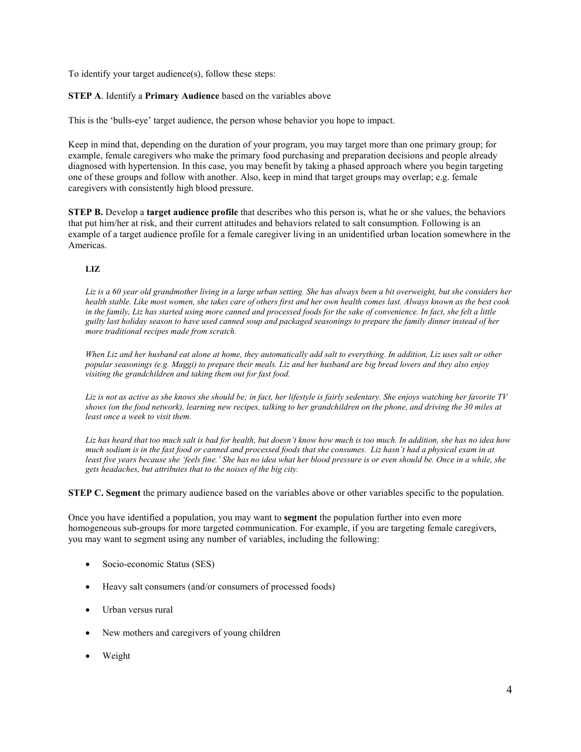To identify your target audience(s), follow these steps:

### **STEP A**. Identify a **Primary Audience** based on the variables above

This is the 'bulls-eye' target audience, the person whose behavior you hope to impact.

Keep in mind that, depending on the duration of your program, you may target more than one primary group; for example, female caregivers who make the primary food purchasing and preparation decisions and people already diagnosed with hypertension. In this case, you may benefit by taking a phased approach where you begin targeting one of these groups and follow with another. Also, keep in mind that target groups may overlap; e.g. female caregivers with consistently high blood pressure.

**STEP B.** Develop a **target audience profile** that describes who this person is, what he or she values, the behaviors that put him/her at risk, and their current attitudes and behaviors related to salt consumption. Following is an example of a target audience profile for a female caregiver living in an unidentified urban location somewhere in the Americas.

### **LIZ**

Liz is a 60 year old grandmother living in a large urban setting. She has always been a bit overweight, but she considers her *health stable. Like most women, she takes care of others first and her own health comes last. Always known as the best cook in the family, Liz has started using more canned and processed foods for the sake of convenience. In fact, she felt a little guilty last holiday season to have used canned soup and packaged seasonings to prepare the family dinner instead of her more traditional recipes made from scratch.* 

*When Liz and her husband eat alone at home, they automatically add salt to everything. In addition, Liz uses salt or other popular seasonings (e.g. Maggi) to prepare their meals. Liz and her husband are big bread lovers and they also enjoy visiting the grandchildren and taking them out for fast food.* 

*Liz is not as active as she knows she should be; in fact, her lifestyle is fairly sedentary. She enjoys watching her favorite TV shows (on the food network), learning new recipes, talking to her grandchildren on the phone, and driving the 30 miles at least once a week to visit them.* 

*Liz has heard that too much salt is bad for health, but doesn't know how much is too much. In addition, she has no idea how much sodium is in the fast food or canned and processed foods that she consumes. Liz hasn't had a physical exam in at least five years because she 'feels fine.' She has no idea what her blood pressure is or even should be. Once in a while, she gets headaches, but attributes that to the noises of the big city.* 

**STEP C. Segment** the primary audience based on the variables above or other variables specific to the population.

Once you have identified a population, you may want to **segment** the population further into even more homogeneous sub-groups for more targeted communication. For example, if you are targeting female caregivers, you may want to segment using any number of variables, including the following:

- Socio-economic Status (SES)
- Heavy salt consumers (and/or consumers of processed foods)
- Urban versus rural
- New mothers and caregivers of young children
- Weight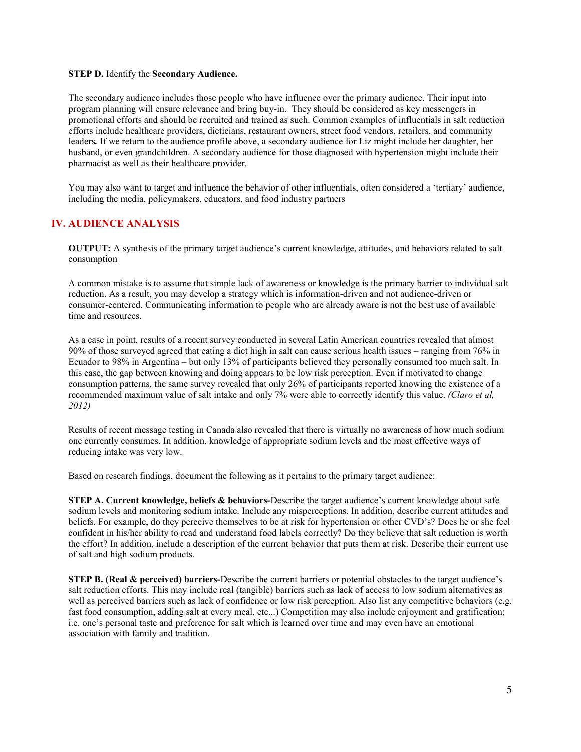### **STEP D.** Identify the **Secondary Audience.**

The secondary audience includes those people who have influence over the primary audience. Their input into program planning will ensure relevance and bring buy-in. They should be considered as key messengers in promotional efforts and should be recruited and trained as such. Common examples of influentials in salt reduction efforts include healthcare providers, dieticians, restaurant owners, street food vendors, retailers, and community leaders*.* If we return to the audience profile above, a secondary audience for Liz might include her daughter, her husband, or even grandchildren. A secondary audience for those diagnosed with hypertension might include their pharmacist as well as their healthcare provider.

You may also want to target and influence the behavior of other influentials, often considered a 'tertiary' audience, including the media, policymakers, educators, and food industry partners

### **IV. AUDIENCE ANALYSIS**

**OUTPUT:** A synthesis of the primary target audience's current knowledge, attitudes, and behaviors related to salt consumption

A common mistake is to assume that simple lack of awareness or knowledge is the primary barrier to individual salt reduction. As a result, you may develop a strategy which is information-driven and not audience-driven or consumer-centered. Communicating information to people who are already aware is not the best use of available time and resources.

As a case in point, results of a recent survey conducted in several Latin American countries revealed that almost 90% of those surveyed agreed that eating a diet high in salt can cause serious health issues – ranging from 76% in Ecuador to 98% in Argentina – but only 13% of participants believed they personally consumed too much salt. In this case, the gap between knowing and doing appears to be low risk perception. Even if motivated to change consumption patterns, the same survey revealed that only 26% of participants reported knowing the existence of a recommended maximum value of salt intake and only 7% were able to correctly identify this value. *(Claro et al, 2012)* 

Results of recent message testing in Canada also revealed that there is virtually no awareness of how much sodium one currently consumes. In addition, knowledge of appropriate sodium levels and the most effective ways of reducing intake was very low.

Based on research findings, document the following as it pertains to the primary target audience:

**STEP A. Current knowledge, beliefs & behaviors-**Describe the target audience's current knowledge about safe sodium levels and monitoring sodium intake. Include any misperceptions. In addition, describe current attitudes and beliefs. For example, do they perceive themselves to be at risk for hypertension or other CVD's? Does he or she feel confident in his/her ability to read and understand food labels correctly? Do they believe that salt reduction is worth the effort? In addition, include a description of the current behavior that puts them at risk. Describe their current use of salt and high sodium products.

**STEP B. (Real & perceived) barriers-**Describe the current barriers or potential obstacles to the target audience's salt reduction efforts. This may include real (tangible) barriers such as lack of access to low sodium alternatives as well as perceived barriers such as lack of confidence or low risk perception. Also list any competitive behaviors (e.g. fast food consumption, adding salt at every meal, etc...) Competition may also include enjoyment and gratification; i.e. one's personal taste and preference for salt which is learned over time and may even have an emotional association with family and tradition.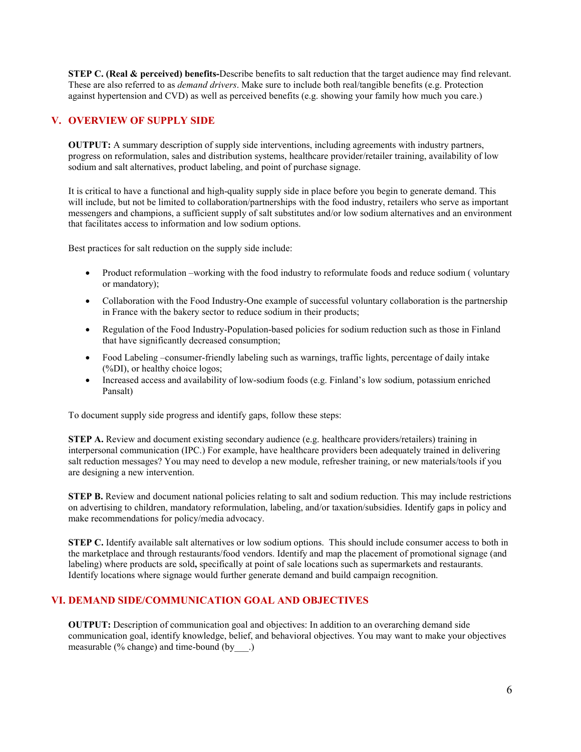**STEP C. (Real & perceived) benefits-**Describe benefits to salt reduction that the target audience may find relevant. These are also referred to as *demand drivers*. Make sure to include both real/tangible benefits (e.g. Protection against hypertension and CVD) as well as perceived benefits (e.g. showing your family how much you care.)

### **V. OVERVIEW OF SUPPLY SIDE**

**OUTPUT:** A summary description of supply side interventions, including agreements with industry partners, progress on reformulation, sales and distribution systems, healthcare provider/retailer training, availability of low sodium and salt alternatives, product labeling, and point of purchase signage.

It is critical to have a functional and high-quality supply side in place before you begin to generate demand. This will include, but not be limited to collaboration/partnerships with the food industry, retailers who serve as important messengers and champions, a sufficient supply of salt substitutes and/or low sodium alternatives and an environment that facilitates access to information and low sodium options.

Best practices for salt reduction on the supply side include:

- Product reformulation –working with the food industry to reformulate foods and reduce sodium (voluntary or mandatory);
- Collaboration with the Food Industry-One example of successful voluntary collaboration is the partnership in France with the bakery sector to reduce sodium in their products;
- Regulation of the Food Industry-Population-based policies for sodium reduction such as those in Finland that have significantly decreased consumption;
- Food Labeling –consumer-friendly labeling such as warnings, traffic lights, percentage of daily intake (%DI), or healthy choice logos;
- Increased access and availability of low-sodium foods (e.g. Finland's low sodium, potassium enriched Pansalt)

To document supply side progress and identify gaps, follow these steps:

**STEP A.** Review and document existing secondary audience (e.g. healthcare providers/retailers) training in interpersonal communication (IPC.) For example, have healthcare providers been adequately trained in delivering salt reduction messages? You may need to develop a new module, refresher training, or new materials/tools if you are designing a new intervention.

**STEP B.** Review and document national policies relating to salt and sodium reduction. This may include restrictions on advertising to children, mandatory reformulation, labeling, and/or taxation/subsidies. Identify gaps in policy and make recommendations for policy/media advocacy.

**STEP C.** Identify available salt alternatives or low sodium options. This should include consumer access to both in the marketplace and through restaurants/food vendors. Identify and map the placement of promotional signage (and labeling) where products are sold**,** specifically at point of sale locations such as supermarkets and restaurants. Identify locations where signage would further generate demand and build campaign recognition.

### **VI. DEMAND SIDE/COMMUNICATION GOAL AND OBJECTIVES**

**OUTPUT:** Description of communication goal and objectives: In addition to an overarching demand side communication goal, identify knowledge, belief, and behavioral objectives. You may want to make your objectives measurable (% change) and time-bound (by\_\_\_.)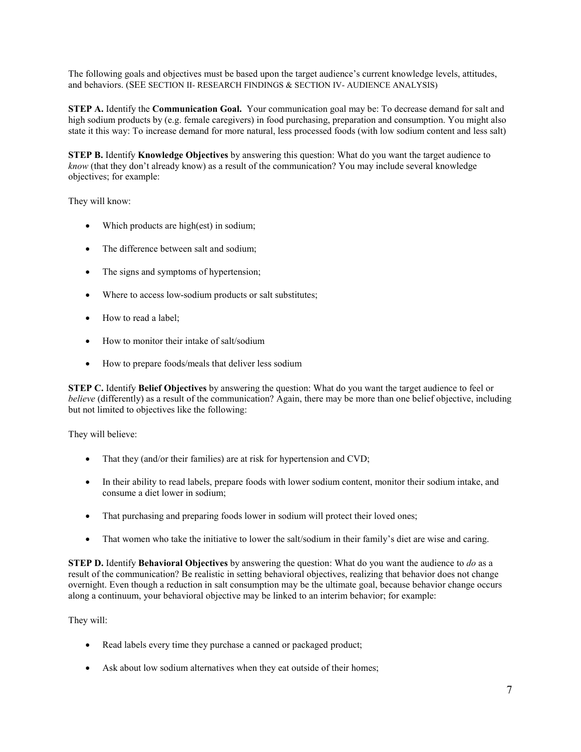The following goals and objectives must be based upon the target audience's current knowledge levels, attitudes, and behaviors. (SEE SECTION II- RESEARCH FINDINGS & SECTION IV- AUDIENCE ANALYSIS)

**STEP A.** Identify the **Communication Goal.** Your communication goal may be: To decrease demand for salt and high sodium products by (e.g. female caregivers) in food purchasing, preparation and consumption. You might also state it this way: To increase demand for more natural, less processed foods (with low sodium content and less salt)

**STEP B.** Identify **Knowledge Objectives** by answering this question: What do you want the target audience to *know* (that they don't already know) as a result of the communication? You may include several knowledge objectives; for example:

They will know:

- Which products are high(est) in sodium;
- The difference between salt and sodium;
- The signs and symptoms of hypertension;
- Where to access low-sodium products or salt substitutes;
- How to read a label;
- How to monitor their intake of salt/sodium
- How to prepare foods/meals that deliver less sodium

**STEP C.** Identify **Belief Objectives** by answering the question: What do you want the target audience to feel or *believe* (differently) as a result of the communication? Again, there may be more than one belief objective, including but not limited to objectives like the following:

They will believe:

- That they (and/or their families) are at risk for hypertension and CVD;
- In their ability to read labels, prepare foods with lower sodium content, monitor their sodium intake, and consume a diet lower in sodium;
- That purchasing and preparing foods lower in sodium will protect their loved ones;
- That women who take the initiative to lower the salt/sodium in their family's diet are wise and caring.

**STEP D.** Identify **Behavioral Objectives** by answering the question: What do you want the audience to *do* as a result of the communication? Be realistic in setting behavioral objectives, realizing that behavior does not change overnight. Even though a reduction in salt consumption may be the ultimate goal, because behavior change occurs along a continuum, your behavioral objective may be linked to an interim behavior; for example:

They will:

- Read labels every time they purchase a canned or packaged product;
- Ask about low sodium alternatives when they eat outside of their homes;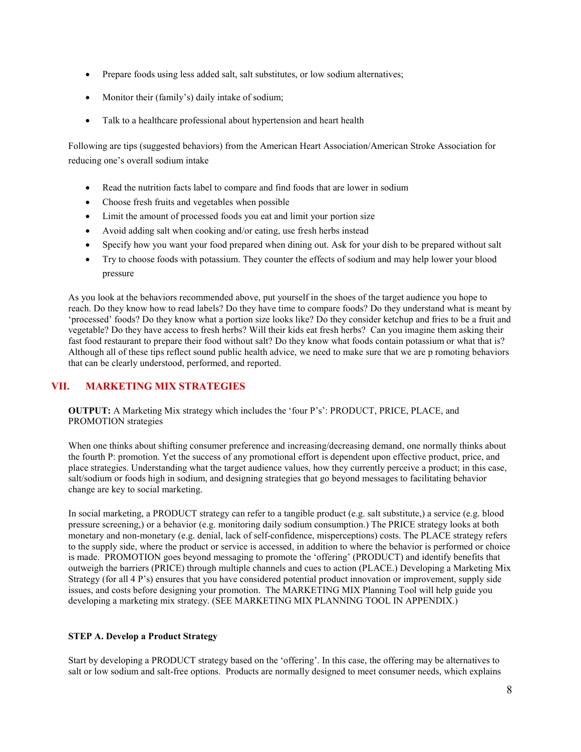- Prepare foods using less added salt, salt substitutes, or low sodium alternatives;
- Monitor their (family's) daily intake of sodium;
- Talk to a healthcare professional about hypertension and heart health

Following are tips (suggested behaviors) from the American Heart Association/American Stroke Association for reducing one's overall sodium intake

- Read the nutrition facts label to compare and find foods that are lower in sodium
- Choose fresh fruits and vegetables when possible
- Limit the amount of processed foods you eat and limit your portion size
- Avoid adding salt when cooking and/or eating, use fresh herbs instead
- Specify how you want your food prepared when dining out. Ask for your dish to be prepared without salt
- Try to choose foods with potassium. They counter the effects of sodium and may help lower your blood pressure

As you look at the behaviors recommended above, put yourself in the shoes of the target audience you hope to reach. Do they know how to read labels? Do they have time to compare foods? Do they understand what is meant by 'processed' foods? Do they know what a portion size looks like? Do they consider ketchup and fries to be a fruit and vegetable? Do they have access to fresh herbs? Will their kids eat fresh herbs? Can you imagine them asking their fast food restaurant to prepare their food without salt? Do they know what foods contain potassium or what that is? Although all of these tips reflect sound public health advice, we need to make sure that we are p romoting behaviors that can be clearly understood, performed, and reported.

### **VII. MARKETING MIX STRATEGIES**

**OUTPUT:** A Marketing Mix strategy which includes the 'four P's': PRODUCT, PRICE, PLACE, and PROMOTION strategies

When one thinks about shifting consumer preference and increasing/decreasing demand, one normally thinks about the fourth P: promotion. Yet the success of any promotional effort is dependent upon effective product, price, and place strategies. Understanding what the target audience values, how they currently perceive a product; in this case, salt/sodium or foods high in sodium, and designing strategies that go beyond messages to facilitating behavior change are key to social marketing.

In social marketing, a PRODUCT strategy can refer to a tangible product (e.g. salt substitute,) a service (e.g. blood pressure screening,) or a behavior (e.g. monitoring daily sodium consumption.) The PRICE strategy looks at both monetary and non-monetary (e.g. denial, lack of self-confidence, misperceptions) costs. The PLACE strategy refers to the supply side, where the product or service is accessed, in addition to where the behavior is performed or choice is made. PROMOTION goes beyond messaging to promote the 'offering' (PRODUCT) and identify benefits that outweigh the barriers (PRICE) through multiple channels and cues to action (PLACE.) Developing a Marketing Mix Strategy (for all 4 P's) ensures that you have considered potential product innovation or improvement, supply side issues, and costs before designing your promotion. The MARKETING MIX Planning Tool will help guide you developing a marketing mix strategy. (SEE MARKETING MIX PLANNING TOOL IN APPENDIX.)

### **STEP A. Develop a Product Strategy**

Start by developing a PRODUCT strategy based on the 'offering'. In this case, the offering may be alternatives to salt or low sodium and salt-free options. Products are normally designed to meet consumer needs, which explains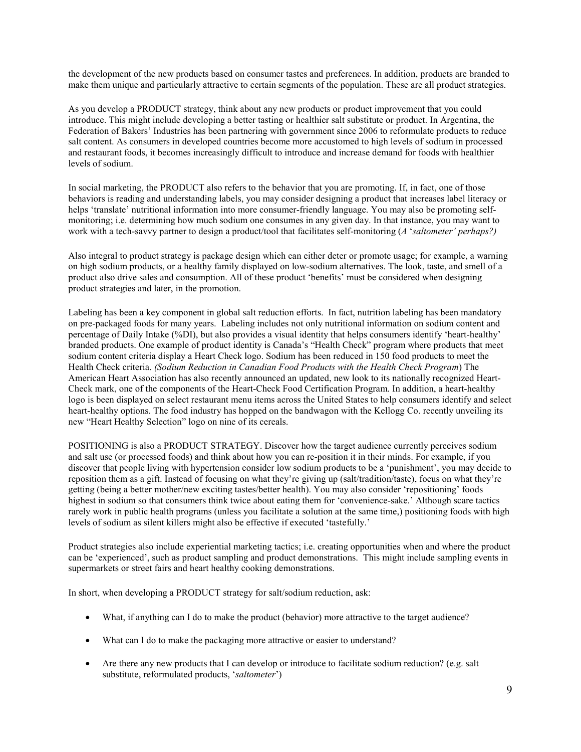the development of the new products based on consumer tastes and preferences. In addition, products are branded to make them unique and particularly attractive to certain segments of the population. These are all product strategies.

As you develop a PRODUCT strategy, think about any new products or product improvement that you could introduce. This might include developing a better tasting or healthier salt substitute or product. In Argentina, the Federation of Bakers' Industries has been partnering with government since 2006 to reformulate products to reduce salt content. As consumers in developed countries become more accustomed to high levels of sodium in processed and restaurant foods, it becomes increasingly difficult to introduce and increase demand for foods with healthier levels of sodium.

In social marketing, the PRODUCT also refers to the behavior that you are promoting. If, in fact, one of those behaviors is reading and understanding labels, you may consider designing a product that increases label literacy or helps 'translate' nutritional information into more consumer-friendly language. You may also be promoting selfmonitoring; i.e. determining how much sodium one consumes in any given day. In that instance, you may want to work with a tech-savvy partner to design a product/tool that facilitates self-monitoring (*A* '*saltometer' perhaps?)*

Also integral to product strategy is package design which can either deter or promote usage; for example, a warning on high sodium products, or a healthy family displayed on low-sodium alternatives. The look, taste, and smell of a product also drive sales and consumption. All of these product 'benefits' must be considered when designing product strategies and later, in the promotion.

Labeling has been a key component in global salt reduction efforts. In fact, nutrition labeling has been mandatory on pre-packaged foods for many years. Labeling includes not only nutritional information on sodium content and percentage of Daily Intake (%DI), but also provides a visual identity that helps consumers identify 'heart-healthy' branded products. One example of product identity is Canada's "Health Check" program where products that meet sodium content criteria display a Heart Check logo. Sodium has been reduced in 150 food products to meet the Health Check criteria. *(Sodium Reduction in Canadian Food Products with the Health Check Program*) The American Heart Association has also recently announced an updated, new look to its nationally recognized Heart-Check mark, one of the components of the Heart-Check Food Certification Program. In addition, a heart-healthy logo is been displayed on select restaurant menu items across the United States to help consumers identify and select heart-healthy options. The food industry has hopped on the bandwagon with the Kellogg Co. recently unveiling its new "Heart Healthy Selection" logo on nine of its cereals.

POSITIONING is also a PRODUCT STRATEGY. Discover how the target audience currently perceives sodium and salt use (or processed foods) and think about how you can re-position it in their minds. For example, if you discover that people living with hypertension consider low sodium products to be a 'punishment', you may decide to reposition them as a gift. Instead of focusing on what they're giving up (salt/tradition/taste), focus on what they're getting (being a better mother/new exciting tastes/better health). You may also consider 'repositioning' foods highest in sodium so that consumers think twice about eating them for 'convenience-sake.' Although scare tactics rarely work in public health programs (unless you facilitate a solution at the same time,) positioning foods with high levels of sodium as silent killers might also be effective if executed 'tastefully.'

Product strategies also include experiential marketing tactics; i.e. creating opportunities when and where the product can be 'experienced', such as product sampling and product demonstrations. This might include sampling events in supermarkets or street fairs and heart healthy cooking demonstrations.

In short, when developing a PRODUCT strategy for salt/sodium reduction, ask:

- What, if anything can I do to make the product (behavior) more attractive to the target audience?
- What can I do to make the packaging more attractive or easier to understand?
- Are there any new products that I can develop or introduce to facilitate sodium reduction? (e.g. salt substitute, reformulated products, '*saltometer*')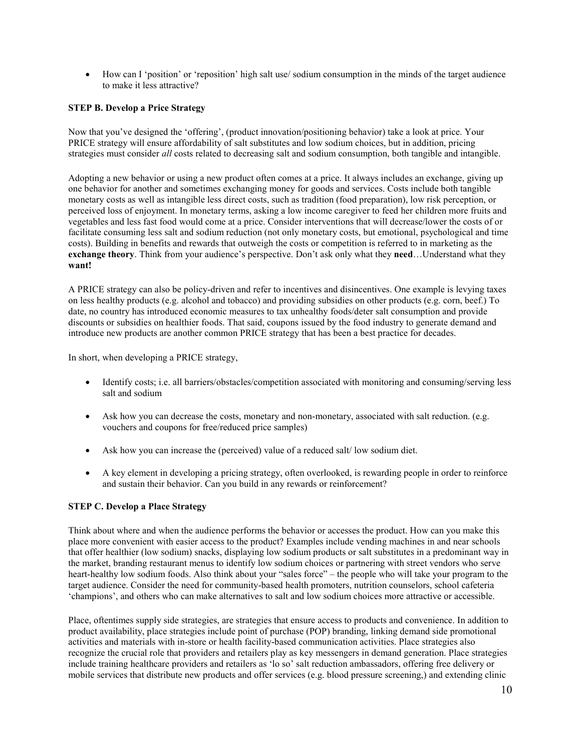• How can I 'position' or 'reposition' high salt use/ sodium consumption in the minds of the target audience to make it less attractive?

### **STEP B. Develop a Price Strategy**

Now that you've designed the 'offering', (product innovation/positioning behavior) take a look at price. Your PRICE strategy will ensure affordability of salt substitutes and low sodium choices, but in addition, pricing strategies must consider *all* costs related to decreasing salt and sodium consumption, both tangible and intangible.

Adopting a new behavior or using a new product often comes at a price. It always includes an exchange, giving up one behavior for another and sometimes exchanging money for goods and services. Costs include both tangible monetary costs as well as intangible less direct costs, such as tradition (food preparation), low risk perception, or perceived loss of enjoyment. In monetary terms, asking a low income caregiver to feed her children more fruits and vegetables and less fast food would come at a price. Consider interventions that will decrease/lower the costs of or facilitate consuming less salt and sodium reduction (not only monetary costs, but emotional, psychological and time costs). Building in benefits and rewards that outweigh the costs or competition is referred to in marketing as the **exchange theory**. Think from your audience's perspective. Don't ask only what they **need**…Understand what they **want!** 

A PRICE strategy can also be policy-driven and refer to incentives and disincentives. One example is levying taxes on less healthy products (e.g. alcohol and tobacco) and providing subsidies on other products (e.g. corn, beef.) To date, no country has introduced economic measures to tax unhealthy foods/deter salt consumption and provide discounts or subsidies on healthier foods. That said, coupons issued by the food industry to generate demand and introduce new products are another common PRICE strategy that has been a best practice for decades.

In short, when developing a PRICE strategy,

- Identify costs; i.e. all barriers/obstacles/competition associated with monitoring and consuming/serving less salt and sodium
- Ask how you can decrease the costs, monetary and non-monetary, associated with salt reduction. (e.g. vouchers and coupons for free/reduced price samples)
- Ask how you can increase the (perceived) value of a reduced salt/ low sodium diet.
- A key element in developing a pricing strategy, often overlooked, is rewarding people in order to reinforce and sustain their behavior. Can you build in any rewards or reinforcement?

### **STEP C. Develop a Place Strategy**

Think about where and when the audience performs the behavior or accesses the product. How can you make this place more convenient with easier access to the product? Examples include vending machines in and near schools that offer healthier (low sodium) snacks, displaying low sodium products or salt substitutes in a predominant way in the market, branding restaurant menus to identify low sodium choices or partnering with street vendors who serve heart-healthy low sodium foods. Also think about your "sales force" – the people who will take your program to the target audience. Consider the need for community-based health promoters, nutrition counselors, school cafeteria 'champions', and others who can make alternatives to salt and low sodium choices more attractive or accessible.

Place, oftentimes supply side strategies, are strategies that ensure access to products and convenience. In addition to product availability, place strategies include point of purchase (POP) branding, linking demand side promotional activities and materials with in-store or health facility-based communication activities. Place strategies also recognize the crucial role that providers and retailers play as key messengers in demand generation. Place strategies include training healthcare providers and retailers as 'lo so' salt reduction ambassadors, offering free delivery or mobile services that distribute new products and offer services (e.g. blood pressure screening,) and extending clinic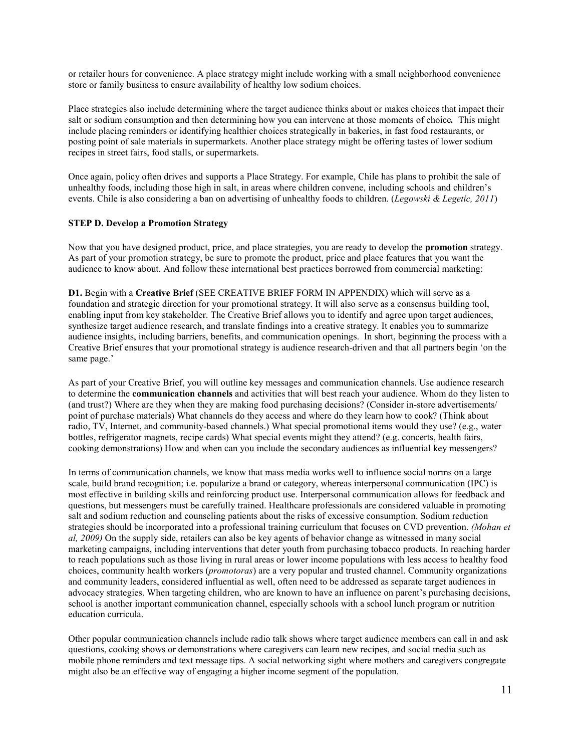or retailer hours for convenience. A place strategy might include working with a small neighborhood convenience store or family business to ensure availability of healthy low sodium choices.

Place strategies also include determining where the target audience thinks about or makes choices that impact their salt or sodium consumption and then determining how you can intervene at those moments of choice*.* This might include placing reminders or identifying healthier choices strategically in bakeries, in fast food restaurants, or posting point of sale materials in supermarkets. Another place strategy might be offering tastes of lower sodium recipes in street fairs, food stalls, or supermarkets.

Once again, policy often drives and supports a Place Strategy. For example, Chile has plans to prohibit the sale of unhealthy foods, including those high in salt, in areas where children convene, including schools and children's events. Chile is also considering a ban on advertising of unhealthy foods to children. (*Legowski & Legetic, 2011*)

### **STEP D. Develop a Promotion Strategy**

Now that you have designed product, price, and place strategies, you are ready to develop the **promotion** strategy. As part of your promotion strategy, be sure to promote the product, price and place features that you want the audience to know about. And follow these international best practices borrowed from commercial marketing:

**D1.** Begin with a **Creative Brief** (SEE CREATIVE BRIEF FORM IN APPENDIX) which will serve as a foundation and strategic direction for your promotional strategy. It will also serve as a consensus building tool, enabling input from key stakeholder. The Creative Brief allows you to identify and agree upon target audiences, synthesize target audience research, and translate findings into a creative strategy. It enables you to summarize audience insights, including barriers, benefits, and communication openings. In short, beginning the process with a Creative Brief ensures that your promotional strategy is audience research-driven and that all partners begin 'on the same page.'

As part of your Creative Brief, you will outline key messages and communication channels. Use audience research to determine the **communication channels** and activities that will best reach your audience. Whom do they listen to (and trust?) Where are they when they are making food purchasing decisions? (Consider in-store advertisements/ point of purchase materials) What channels do they access and where do they learn how to cook? (Think about radio, TV, Internet, and community-based channels.) What special promotional items would they use? (e.g., water bottles, refrigerator magnets, recipe cards) What special events might they attend? (e.g. concerts, health fairs, cooking demonstrations) How and when can you include the secondary audiences as influential key messengers?

In terms of communication channels, we know that mass media works well to influence social norms on a large scale, build brand recognition; i.e. popularize a brand or category, whereas interpersonal communication (IPC) is most effective in building skills and reinforcing product use. Interpersonal communication allows for feedback and questions, but messengers must be carefully trained. Healthcare professionals are considered valuable in promoting salt and sodium reduction and counseling patients about the risks of excessive consumption. Sodium reduction strategies should be incorporated into a professional training curriculum that focuses on CVD prevention. *(Mohan et al, 2009)* On the supply side, retailers can also be key agents of behavior change as witnessed in many social marketing campaigns, including interventions that deter youth from purchasing tobacco products. In reaching harder to reach populations such as those living in rural areas or lower income populations with less access to healthy food choices, community health workers (*promotoras*) are a very popular and trusted channel. Community organizations and community leaders, considered influential as well, often need to be addressed as separate target audiences in advocacy strategies. When targeting children, who are known to have an influence on parent's purchasing decisions, school is another important communication channel, especially schools with a school lunch program or nutrition education curricula.

Other popular communication channels include radio talk shows where target audience members can call in and ask questions, cooking shows or demonstrations where caregivers can learn new recipes, and social media such as mobile phone reminders and text message tips. A social networking sight where mothers and caregivers congregate might also be an effective way of engaging a higher income segment of the population.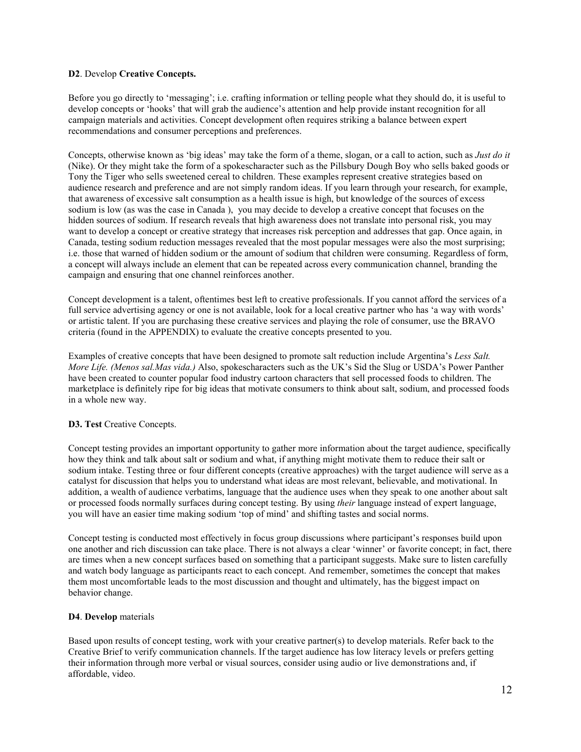### **D2**. Develop **Creative Concepts.**

Before you go directly to 'messaging'; i.e. crafting information or telling people what they should do, it is useful to develop concepts or 'hooks' that will grab the audience's attention and help provide instant recognition for all campaign materials and activities. Concept development often requires striking a balance between expert recommendations and consumer perceptions and preferences.

Concepts, otherwise known as 'big ideas' may take the form of a theme, slogan, or a call to action, such as *Just do it*  (Nike). Or they might take the form of a spokescharacter such as the Pillsbury Dough Boy who sells baked goods or Tony the Tiger who sells sweetened cereal to children. These examples represent creative strategies based on audience research and preference and are not simply random ideas. If you learn through your research, for example, that awareness of excessive salt consumption as a health issue is high, but knowledge of the sources of excess sodium is low (as was the case in Canada ), you may decide to develop a creative concept that focuses on the hidden sources of sodium. If research reveals that high awareness does not translate into personal risk, you may want to develop a concept or creative strategy that increases risk perception and addresses that gap. Once again, in Canada, testing sodium reduction messages revealed that the most popular messages were also the most surprising; i.e. those that warned of hidden sodium or the amount of sodium that children were consuming. Regardless of form, a concept will always include an element that can be repeated across every communication channel, branding the campaign and ensuring that one channel reinforces another.

Concept development is a talent, oftentimes best left to creative professionals. If you cannot afford the services of a full service advertising agency or one is not available, look for a local creative partner who has 'a way with words' or artistic talent. If you are purchasing these creative services and playing the role of consumer, use the BRAVO criteria (found in the APPENDIX) to evaluate the creative concepts presented to you.

Examples of creative concepts that have been designed to promote salt reduction include Argentina's *Less Salt. More Life. (Menos sal.Mas vida.)* Also, spokescharacters such as the UK's Sid the Slug or USDA's Power Panther have been created to counter popular food industry cartoon characters that sell processed foods to children. The marketplace is definitely ripe for big ideas that motivate consumers to think about salt, sodium, and processed foods in a whole new way.

### **D3. Test** Creative Concepts.

Concept testing provides an important opportunity to gather more information about the target audience, specifically how they think and talk about salt or sodium and what, if anything might motivate them to reduce their salt or sodium intake. Testing three or four different concepts (creative approaches) with the target audience will serve as a catalyst for discussion that helps you to understand what ideas are most relevant, believable, and motivational. In addition, a wealth of audience verbatims, language that the audience uses when they speak to one another about salt or processed foods normally surfaces during concept testing. By using *their* language instead of expert language, you will have an easier time making sodium 'top of mind' and shifting tastes and social norms.

Concept testing is conducted most effectively in focus group discussions where participant's responses build upon one another and rich discussion can take place. There is not always a clear 'winner' or favorite concept; in fact, there are times when a new concept surfaces based on something that a participant suggests. Make sure to listen carefully and watch body language as participants react to each concept. And remember, sometimes the concept that makes them most uncomfortable leads to the most discussion and thought and ultimately, has the biggest impact on behavior change.

### **D4**. **Develop** materials

Based upon results of concept testing, work with your creative partner(s) to develop materials. Refer back to the Creative Brief to verify communication channels. If the target audience has low literacy levels or prefers getting their information through more verbal or visual sources, consider using audio or live demonstrations and, if affordable, video.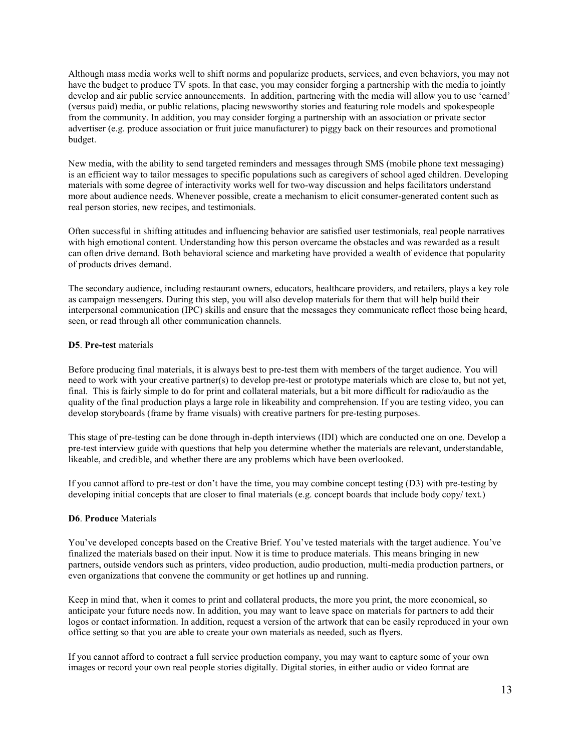Although mass media works well to shift norms and popularize products, services, and even behaviors, you may not have the budget to produce TV spots. In that case, you may consider forging a partnership with the media to jointly develop and air public service announcements. In addition, partnering with the media will allow you to use 'earned' (versus paid) media, or public relations, placing newsworthy stories and featuring role models and spokespeople from the community. In addition, you may consider forging a partnership with an association or private sector advertiser (e.g. produce association or fruit juice manufacturer) to piggy back on their resources and promotional budget.

New media, with the ability to send targeted reminders and messages through SMS (mobile phone text messaging) is an efficient way to tailor messages to specific populations such as caregivers of school aged children. Developing materials with some degree of interactivity works well for two-way discussion and helps facilitators understand more about audience needs. Whenever possible, create a mechanism to elicit consumer-generated content such as real person stories, new recipes, and testimonials.

Often successful in shifting attitudes and influencing behavior are satisfied user testimonials, real people narratives with high emotional content. Understanding how this person overcame the obstacles and was rewarded as a result can often drive demand. Both behavioral science and marketing have provided a wealth of evidence that popularity of products drives demand.

The secondary audience, including restaurant owners, educators, healthcare providers, and retailers, plays a key role as campaign messengers. During this step, you will also develop materials for them that will help build their interpersonal communication (IPC) skills and ensure that the messages they communicate reflect those being heard, seen, or read through all other communication channels.

### **D5**. **Pre-test** materials

Before producing final materials, it is always best to pre-test them with members of the target audience. You will need to work with your creative partner(s) to develop pre-test or prototype materials which are close to, but not yet, final. This is fairly simple to do for print and collateral materials, but a bit more difficult for radio/audio as the quality of the final production plays a large role in likeability and comprehension. If you are testing video, you can develop storyboards (frame by frame visuals) with creative partners for pre-testing purposes.

This stage of pre-testing can be done through in-depth interviews (IDI) which are conducted one on one. Develop a pre-test interview guide with questions that help you determine whether the materials are relevant, understandable, likeable, and credible, and whether there are any problems which have been overlooked.

If you cannot afford to pre-test or don't have the time, you may combine concept testing (D3) with pre-testing by developing initial concepts that are closer to final materials (e.g. concept boards that include body copy/ text.)

### **D6**. **Produce** Materials

You've developed concepts based on the Creative Brief. You've tested materials with the target audience. You've finalized the materials based on their input. Now it is time to produce materials. This means bringing in new partners, outside vendors such as printers, video production, audio production, multi-media production partners, or even organizations that convene the community or get hotlines up and running.

Keep in mind that, when it comes to print and collateral products, the more you print, the more economical, so anticipate your future needs now. In addition, you may want to leave space on materials for partners to add their logos or contact information. In addition, request a version of the artwork that can be easily reproduced in your own office setting so that you are able to create your own materials as needed, such as flyers.

If you cannot afford to contract a full service production company, you may want to capture some of your own images or record your own real people stories digitally. Digital stories, in either audio or video format are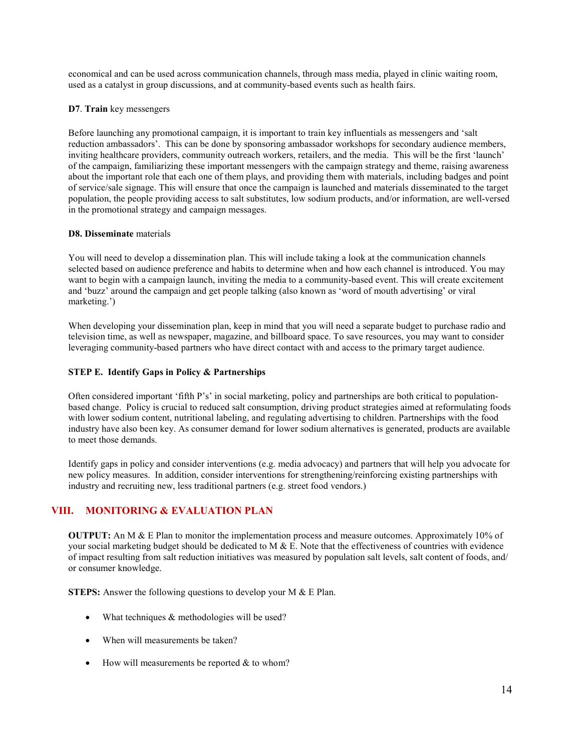economical and can be used across communication channels, through mass media, played in clinic waiting room, used as a catalyst in group discussions, and at community-based events such as health fairs.

### **D7**. **Train** key messengers

Before launching any promotional campaign, it is important to train key influentials as messengers and 'salt reduction ambassadors'. This can be done by sponsoring ambassador workshops for secondary audience members, inviting healthcare providers, community outreach workers, retailers, and the media. This will be the first 'launch' of the campaign, familiarizing these important messengers with the campaign strategy and theme, raising awareness about the important role that each one of them plays, and providing them with materials, including badges and point of service/sale signage. This will ensure that once the campaign is launched and materials disseminated to the target population, the people providing access to salt substitutes, low sodium products, and/or information, are well-versed in the promotional strategy and campaign messages.

### **D8. Disseminate** materials

You will need to develop a dissemination plan. This will include taking a look at the communication channels selected based on audience preference and habits to determine when and how each channel is introduced. You may want to begin with a campaign launch, inviting the media to a community-based event. This will create excitement and 'buzz' around the campaign and get people talking (also known as 'word of mouth advertising' or viral marketing.')

When developing your dissemination plan, keep in mind that you will need a separate budget to purchase radio and television time, as well as newspaper, magazine, and billboard space. To save resources, you may want to consider leveraging community-based partners who have direct contact with and access to the primary target audience.

### **STEP E. Identify Gaps in Policy & Partnerships**

Often considered important 'fifth P's' in social marketing, policy and partnerships are both critical to populationbased change. Policy is crucial to reduced salt consumption, driving product strategies aimed at reformulating foods with lower sodium content, nutritional labeling, and regulating advertising to children. Partnerships with the food industry have also been key. As consumer demand for lower sodium alternatives is generated, products are available to meet those demands.

Identify gaps in policy and consider interventions (e.g. media advocacy) and partners that will help you advocate for new policy measures. In addition, consider interventions for strengthening/reinforcing existing partnerships with industry and recruiting new, less traditional partners (e.g. street food vendors.)

### **VIII. MONITORING & EVALUATION PLAN**

**OUTPUT:** An M & E Plan to monitor the implementation process and measure outcomes. Approximately 10% of your social marketing budget should be dedicated to M  $\&$  E. Note that the effectiveness of countries with evidence of impact resulting from salt reduction initiatives was measured by population salt levels, salt content of foods, and/ or consumer knowledge.

**STEPS:** Answer the following questions to develop your M & E Plan.

- What techniques & methodologies will be used?
- When will measurements be taken?
- How will measurements be reported  $&$  to whom?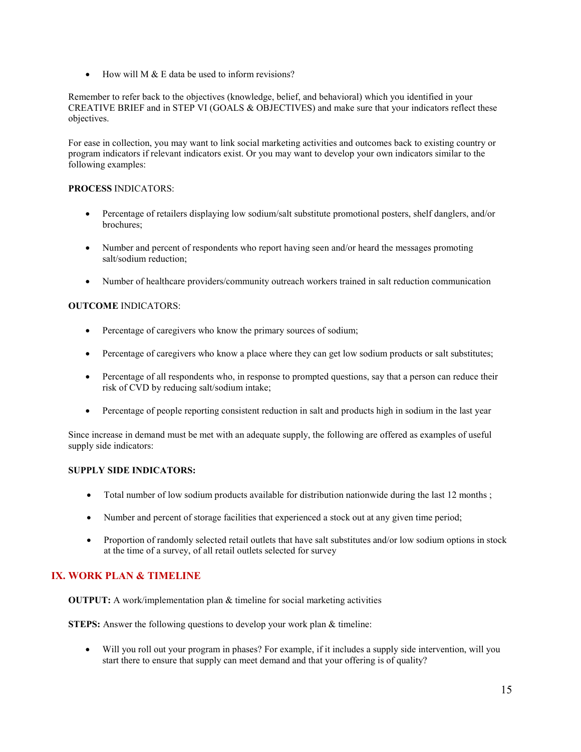• How will M & E data be used to inform revisions?

Remember to refer back to the objectives (knowledge, belief, and behavioral) which you identified in your CREATIVE BRIEF and in STEP VI (GOALS & OBJECTIVES) and make sure that your indicators reflect these objectives.

For ease in collection, you may want to link social marketing activities and outcomes back to existing country or program indicators if relevant indicators exist. Or you may want to develop your own indicators similar to the following examples:

### **PROCESS** INDICATORS:

- Percentage of retailers displaying low sodium/salt substitute promotional posters, shelf danglers, and/or brochures;
- Number and percent of respondents who report having seen and/or heard the messages promoting salt/sodium reduction;
- Number of healthcare providers/community outreach workers trained in salt reduction communication

### **OUTCOME** INDICATORS:

- Percentage of caregivers who know the primary sources of sodium;
- Percentage of caregivers who know a place where they can get low sodium products or salt substitutes;
- Percentage of all respondents who, in response to prompted questions, say that a person can reduce their risk of CVD by reducing salt/sodium intake;
- Percentage of people reporting consistent reduction in salt and products high in sodium in the last year

Since increase in demand must be met with an adequate supply, the following are offered as examples of useful supply side indicators:

### **SUPPLY SIDE INDICATORS:**

- Total number of low sodium products available for distribution nationwide during the last 12 months;
- Number and percent of storage facilities that experienced a stock out at any given time period;
- Proportion of randomly selected retail outlets that have salt substitutes and/or low sodium options in stock at the time of a survey, of all retail outlets selected for survey

### **IX. WORK PLAN & TIMELINE**

**OUTPUT:** A work/implementation plan & timeline for social marketing activities

**STEPS:** Answer the following questions to develop your work plan & timeline:

Will you roll out your program in phases? For example, if it includes a supply side intervention, will you start there to ensure that supply can meet demand and that your offering is of quality?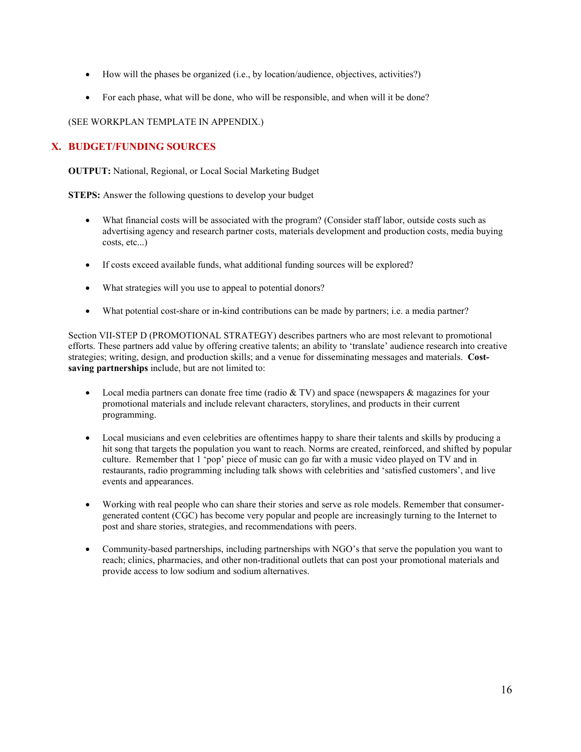- How will the phases be organized (i.e., by location/audience, objectives, activities?)
- For each phase, what will be done, who will be responsible, and when will it be done?

(SEE WORKPLAN TEMPLATE IN APPENDIX.)

### **X. BUDGET/FUNDING SOURCES**

**OUTPUT:** National, Regional, or Local Social Marketing Budget

**STEPS:** Answer the following questions to develop your budget

- What financial costs will be associated with the program? (Consider staff labor, outside costs such as advertising agency and research partner costs, materials development and production costs, media buying costs, etc...)
- If costs exceed available funds, what additional funding sources will be explored?
- What strategies will you use to appeal to potential donors?
- What potential cost-share or in-kind contributions can be made by partners; i.e. a media partner?

Section VII-STEP D (PROMOTIONAL STRATEGY) describes partners who are most relevant to promotional efforts. These partners add value by offering creative talents; an ability to 'translate' audience research into creative strategies; writing, design, and production skills; and a venue for disseminating messages and materials. **Costsaving partnerships** include, but are not limited to:

- Local media partners can donate free time (radio  $&$  TV) and space (newspapers  $&$  magazines for your promotional materials and include relevant characters, storylines, and products in their current programming.
- Local musicians and even celebrities are oftentimes happy to share their talents and skills by producing a hit song that targets the population you want to reach. Norms are created, reinforced, and shifted by popular culture. Remember that 1 'pop' piece of music can go far with a music video played on TV and in restaurants, radio programming including talk shows with celebrities and 'satisfied customers', and live events and appearances.
- Working with real people who can share their stories and serve as role models. Remember that consumergenerated content (CGC) has become very popular and people are increasingly turning to the Internet to post and share stories, strategies, and recommendations with peers.
- Community-based partnerships, including partnerships with NGO's that serve the population you want to reach; clinics, pharmacies, and other non-traditional outlets that can post your promotional materials and provide access to low sodium and sodium alternatives.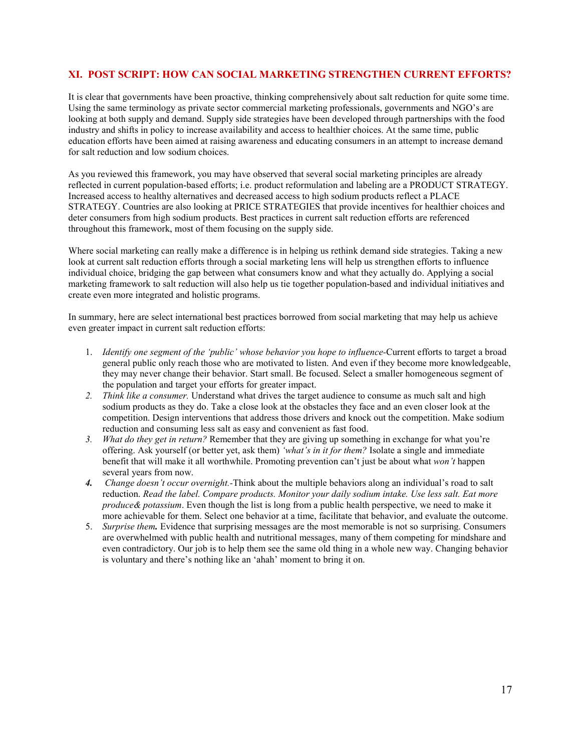### **XI. POST SCRIPT: HOW CAN SOCIAL MARKETING STRENGTHEN CURRENT EFFORTS?**

It is clear that governments have been proactive, thinking comprehensively about salt reduction for quite some time. Using the same terminology as private sector commercial marketing professionals, governments and NGO's are looking at both supply and demand. Supply side strategies have been developed through partnerships with the food industry and shifts in policy to increase availability and access to healthier choices. At the same time, public education efforts have been aimed at raising awareness and educating consumers in an attempt to increase demand for salt reduction and low sodium choices.

As you reviewed this framework, you may have observed that several social marketing principles are already reflected in current population-based efforts; i.e. product reformulation and labeling are a PRODUCT STRATEGY. Increased access to healthy alternatives and decreased access to high sodium products reflect a PLACE STRATEGY. Countries are also looking at PRICE STRATEGIES that provide incentives for healthier choices and deter consumers from high sodium products. Best practices in current salt reduction efforts are referenced throughout this framework, most of them focusing on the supply side.

Where social marketing can really make a difference is in helping us rethink demand side strategies. Taking a new look at current salt reduction efforts through a social marketing lens will help us strengthen efforts to influence individual choice, bridging the gap between what consumers know and what they actually do. Applying a social marketing framework to salt reduction will also help us tie together population-based and individual initiatives and create even more integrated and holistic programs.

In summary, here are select international best practices borrowed from social marketing that may help us achieve even greater impact in current salt reduction efforts:

- 1. *Identify one segment of the 'public' whose behavior you hope to influence-*Current efforts to target a broad general public only reach those who are motivated to listen. And even if they become more knowledgeable, they may never change their behavior. Start small. Be focused. Select a smaller homogeneous segment of the population and target your efforts for greater impact.
- *2. Think like a consumer.* Understand what drives the target audience to consume as much salt and high sodium products as they do. Take a close look at the obstacles they face and an even closer look at the competition. Design interventions that address those drivers and knock out the competition. Make sodium reduction and consuming less salt as easy and convenient as fast food.
- *3. What do they get in return?* Remember that they are giving up something in exchange for what you're offering. Ask yourself (or better yet, ask them) *'what's in it for them?* Isolate a single and immediate benefit that will make it all worthwhile. Promoting prevention can't just be about what *won't* happen several years from now.
- *4. Change doesn't occur overnight.-*Think about the multiple behaviors along an individual's road to salt reduction. *Read the label. Compare products. Monitor your daily sodium intake. Use less salt. Eat more produce& potassium*. Even though the list is long from a public health perspective, we need to make it more achievable for them. Select one behavior at a time, facilitate that behavior, and evaluate the outcome.
- 5. *Surprise them.* Evidence that surprising messages are the most memorable is not so surprising. Consumers are overwhelmed with public health and nutritional messages, many of them competing for mindshare and even contradictory. Our job is to help them see the same old thing in a whole new way. Changing behavior is voluntary and there's nothing like an 'ahah' moment to bring it on.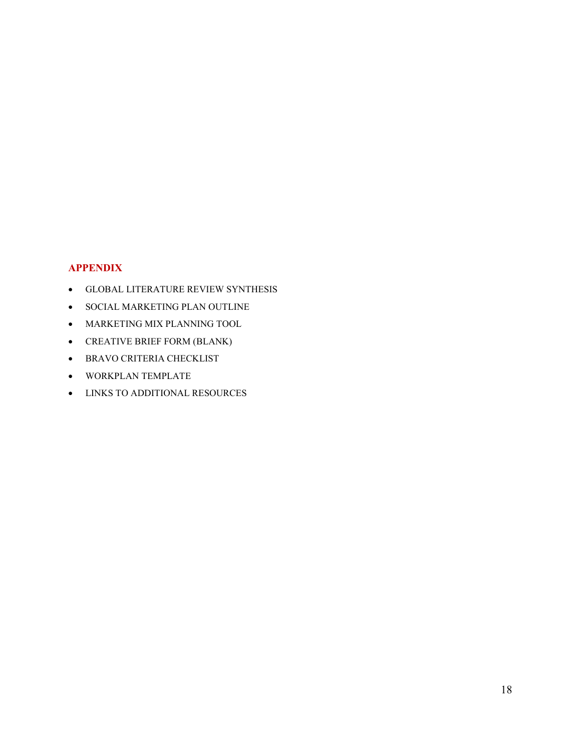### **APPENDIX**

- GLOBAL LITERATURE REVIEW SYNTHESIS
- SOCIAL MARKETING PLAN OUTLINE
- MARKETING MIX PLANNING TOOL
- CREATIVE BRIEF FORM (BLANK)
- BRAVO CRITERIA CHECKLIST
- WORKPLAN TEMPLATE
- LINKS TO ADDITIONAL RESOURCES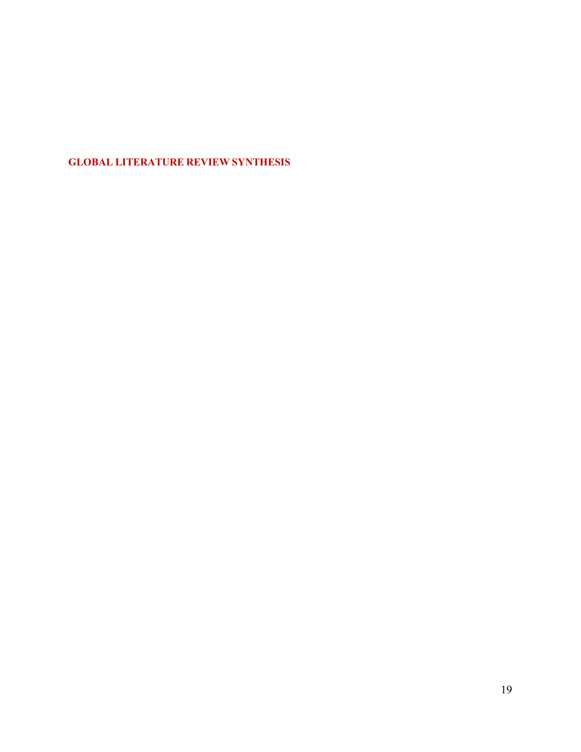### **GLOBAL LITERATURE REVIEW SYNTHESIS**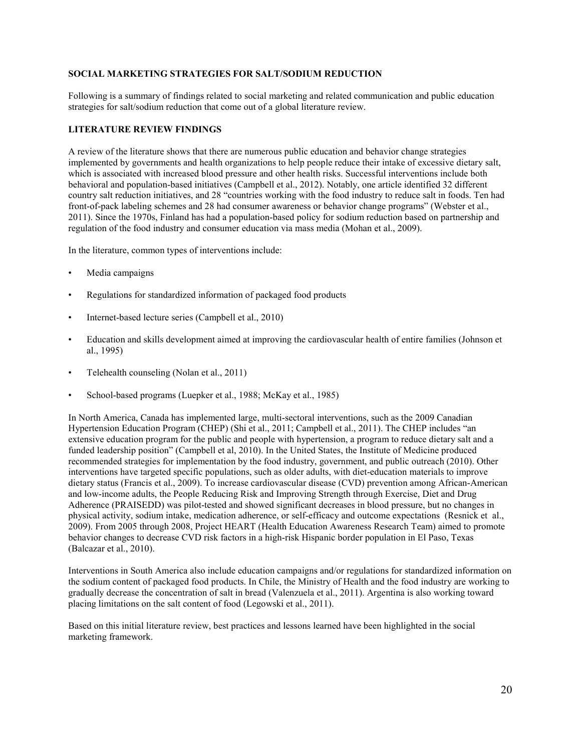### **SOCIAL MARKETING STRATEGIES FOR SALT/SODIUM REDUCTION**

Following is a summary of findings related to social marketing and related communication and public education strategies for salt/sodium reduction that come out of a global literature review.

### **LITERATURE REVIEW FINDINGS**

A review of the literature shows that there are numerous public education and behavior change strategies implemented by governments and health organizations to help people reduce their intake of excessive dietary salt, which is associated with increased blood pressure and other health risks. Successful interventions include both behavioral and population-based initiatives (Campbell et al., 2012). Notably, one article identified 32 different country salt reduction initiatives, and 28 "countries working with the food industry to reduce salt in foods. Ten had front-of-pack labeling schemes and 28 had consumer awareness or behavior change programs" (Webster et al., 2011). Since the 1970s, Finland has had a population-based policy for sodium reduction based on partnership and regulation of the food industry and consumer education via mass media (Mohan et al., 2009).

In the literature, common types of interventions include:

- Media campaigns
- Regulations for standardized information of packaged food products
- Internet-based lecture series (Campbell et al., 2010)
- Education and skills development aimed at improving the cardiovascular health of entire families (Johnson et al., 1995)
- Telehealth counseling (Nolan et al., 2011)
- School-based programs (Luepker et al., 1988; McKay et al., 1985)

In North America, Canada has implemented large, multi-sectoral interventions, such as the 2009 Canadian Hypertension Education Program (CHEP) (Shi et al., 2011; Campbell et al., 2011). The CHEP includes "an extensive education program for the public and people with hypertension, a program to reduce dietary salt and a funded leadership position" (Campbell et al, 2010). In the United States, the Institute of Medicine produced recommended strategies for implementation by the food industry, government, and public outreach (2010). Other interventions have targeted specific populations, such as older adults, with diet-education materials to improve dietary status (Francis et al., 2009). To increase cardiovascular disease (CVD) prevention among African-American and low-income adults, the People Reducing Risk and Improving Strength through Exercise, Diet and Drug Adherence (PRAISEDD) was pilot-tested and showed significant decreases in blood pressure, but no changes in physical activity, sodium intake, medication adherence, or self-efficacy and outcome expectations (Resnick et al., 2009). From 2005 through 2008, Project HEART (Health Education Awareness Research Team) aimed to promote behavior changes to decrease CVD risk factors in a high-risk Hispanic border population in El Paso, Texas (Balcazar et al., 2010).

Interventions in South America also include education campaigns and/or regulations for standardized information on the sodium content of packaged food products. In Chile, the Ministry of Health and the food industry are working to gradually decrease the concentration of salt in bread (Valenzuela et al., 2011). Argentina is also working toward placing limitations on the salt content of food (Legowski et al., 2011).

Based on this initial literature review, best practices and lessons learned have been highlighted in the social marketing framework.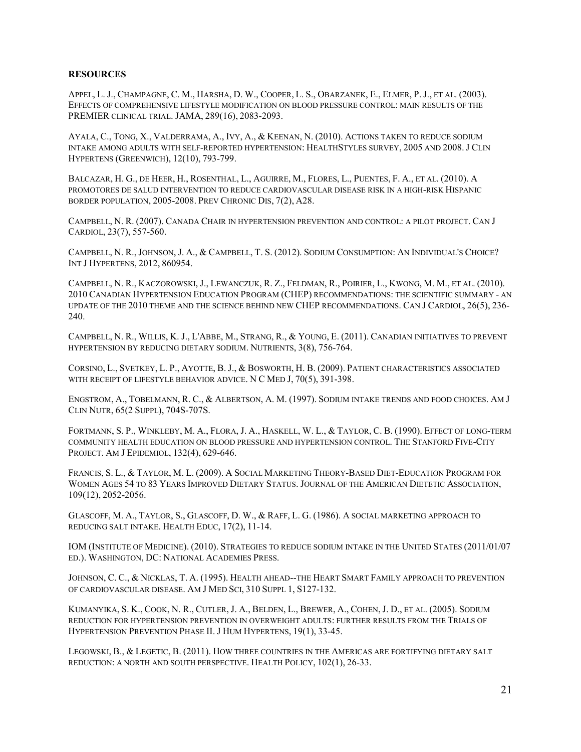### **RESOURCES**

APPEL, L. J., CHAMPAGNE, C. M., HARSHA, D. W., COOPER, L. S., OBARZANEK, E., ELMER, P. J., ET AL. (2003). EFFECTS OF COMPREHENSIVE LIFESTYLE MODIFICATION ON BLOOD PRESSURE CONTROL: MAIN RESULTS OF THE PREMIER CLINICAL TRIAL. JAMA, 289(16), 2083-2093.

AYALA, C., TONG, X., VALDERRAMA, A., IVY, A., & KEENAN, N. (2010). ACTIONS TAKEN TO REDUCE SODIUM INTAKE AMONG ADULTS WITH SELF-REPORTED HYPERTENSION: HEALTHSTYLES SURVEY, 2005 AND 2008. J CLIN HYPERTENS (GREENWICH), 12(10), 793-799.

BALCAZAR, H. G., DE HEER, H., ROSENTHAL, L., AGUIRRE, M., FLORES, L., PUENTES, F. A., ET AL. (2010). A PROMOTORES DE SALUD INTERVENTION TO REDUCE CARDIOVASCULAR DISEASE RISK IN A HIGH-RISK HISPANIC BORDER POPULATION, 2005-2008. PREV CHRONIC DIS, 7(2), A28.

CAMPBELL, N. R. (2007). CANADA CHAIR IN HYPERTENSION PREVENTION AND CONTROL: A PILOT PROJECT. CAN J CARDIOL, 23(7), 557-560.

CAMPBELL, N. R., JOHNSON, J. A., & CAMPBELL, T. S. (2012). SODIUM CONSUMPTION: AN INDIVIDUAL'S CHOICE? INT J HYPERTENS, 2012, 860954.

CAMPBELL, N. R., KACZOROWSKI, J., LEWANCZUK, R. Z., FELDMAN, R., POIRIER, L., KWONG, M. M., ET AL. (2010). 2010 CANADIAN HYPERTENSION EDUCATION PROGRAM (CHEP) RECOMMENDATIONS: THE SCIENTIFIC SUMMARY - AN UPDATE OF THE 2010 THEME AND THE SCIENCE BEHIND NEW CHEP RECOMMENDATIONS. CAN J CARDIOL, 26(5), 236- 240.

CAMPBELL, N. R., WILLIS, K. J., L'ABBE, M., STRANG, R., & YOUNG, E. (2011). CANADIAN INITIATIVES TO PREVENT HYPERTENSION BY REDUCING DIETARY SODIUM. NUTRIENTS, 3(8), 756-764.

CORSINO, L., SVETKEY, L. P., AYOTTE, B. J., & BOSWORTH, H. B. (2009). PATIENT CHARACTERISTICS ASSOCIATED WITH RECEIPT OF LIFESTYLE BEHAVIOR ADVICE. N C MED J, 70(5), 391-398.

ENGSTROM, A., TOBELMANN, R. C., & ALBERTSON, A. M. (1997). SODIUM INTAKE TRENDS AND FOOD CHOICES. AM J CLIN NUTR, 65(2 SUPPL), 704S-707S.

FORTMANN, S. P., WINKLEBY, M. A., FLORA, J. A., HASKELL, W. L., & TAYLOR, C. B. (1990). EFFECT OF LONG-TERM COMMUNITY HEALTH EDUCATION ON BLOOD PRESSURE AND HYPERTENSION CONTROL. THE STANFORD FIVE-CITY PROJECT. AM J EPIDEMIOL, 132(4), 629-646.

FRANCIS, S. L., & TAYLOR, M. L. (2009). A SOCIAL MARKETING THEORY-BASED DIET-EDUCATION PROGRAM FOR WOMEN AGES 54 TO 83 YEARS IMPROVED DIETARY STATUS. JOURNAL OF THE AMERICAN DIETETIC ASSOCIATION, 109(12), 2052-2056.

GLASCOFF, M. A., TAYLOR, S., GLASCOFF, D. W., & RAFF, L. G. (1986). A SOCIAL MARKETING APPROACH TO REDUCING SALT INTAKE. HEALTH EDUC, 17(2), 11-14.

IOM (INSTITUTE OF MEDICINE). (2010). STRATEGIES TO REDUCE SODIUM INTAKE IN THE UNITED STATES (2011/01/07 ED.). WASHINGTON, DC: NATIONAL ACADEMIES PRESS.

JOHNSON, C. C., & NICKLAS, T. A. (1995). HEALTH AHEAD--THE HEART SMART FAMILY APPROACH TO PREVENTION OF CARDIOVASCULAR DISEASE. AM J MED SCI, 310 SUPPL 1, S127-132.

KUMANYIKA, S. K., COOK, N. R., CUTLER, J. A., BELDEN, L., BREWER, A., COHEN, J. D., ET AL. (2005). SODIUM REDUCTION FOR HYPERTENSION PREVENTION IN OVERWEIGHT ADULTS: FURTHER RESULTS FROM THE TRIALS OF HYPERTENSION PREVENTION PHASE II. J HUM HYPERTENS, 19(1), 33-45.

LEGOWSKI, B., & LEGETIC, B. (2011). HOW THREE COUNTRIES IN THE AMERICAS ARE FORTIFYING DIETARY SALT REDUCTION: A NORTH AND SOUTH PERSPECTIVE. HEALTH POLICY, 102(1), 26-33.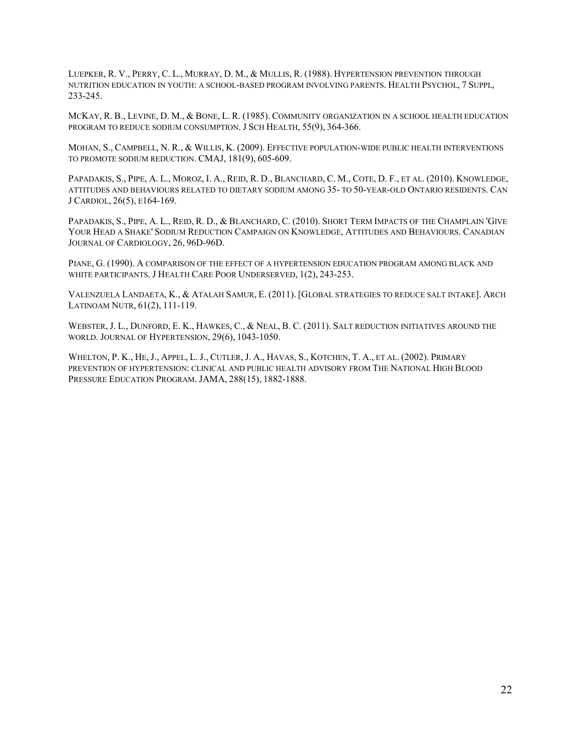LUEPKER, R. V., PERRY, C. L., MURRAY, D. M., & MULLIS, R. (1988). HYPERTENSION PREVENTION THROUGH NUTRITION EDUCATION IN YOUTH: A SCHOOL-BASED PROGRAM INVOLVING PARENTS. HEALTH PSYCHOL, 7 SUPPL, 233-245.

MCKAY, R. B., LEVINE, D. M., & BONE, L. R. (1985). COMMUNITY ORGANIZATION IN A SCHOOL HEALTH EDUCATION PROGRAM TO REDUCE SODIUM CONSUMPTION. J SCH HEALTH, 55(9), 364-366.

MOHAN, S., CAMPBELL, N. R., & WILLIS, K. (2009). EFFECTIVE POPULATION-WIDE PUBLIC HEALTH INTERVENTIONS TO PROMOTE SODIUM REDUCTION. CMAJ, 181(9), 605-609.

PAPADAKIS, S., PIPE, A. L., MOROZ, I. A., REID, R. D., BLANCHARD, C. M., COTE, D. F., ET AL. (2010). KNOWLEDGE, ATTITUDES AND BEHAVIOURS RELATED TO DIETARY SODIUM AMONG 35- TO 50-YEAR-OLD ONTARIO RESIDENTS. CAN J CARDIOL, 26(5), E164-169.

PAPADAKIS, S., PIPE, A. L., REID, R. D., & BLANCHARD, C. (2010). SHORT TERM IMPACTS OF THE CHAMPLAIN 'GIVE YOUR HEAD A SHAKE' SODIUM REDUCTION CAMPAIGN ON KNOWLEDGE, ATTITUDES AND BEHAVIOURS. CANADIAN JOURNAL OF CARDIOLOGY, 26, 96D-96D.

PIANE, G. (1990). A COMPARISON OF THE EFFECT OF A HYPERTENSION EDUCATION PROGRAM AMONG BLACK AND WHITE PARTICIPANTS. J HEALTH CARE POOR UNDERSERVED, 1(2), 243-253.

VALENZUELA LANDAETA, K., & ATALAH SAMUR, E. (2011). [GLOBAL STRATEGIES TO REDUCE SALT INTAKE]. ARCH LATINOAM NUTR, 61(2), 111-119.

WEBSTER, J. L., DUNFORD, E. K., HAWKES, C., & NEAL, B. C. (2011). SALT REDUCTION INITIATIVES AROUND THE WORLD. JOURNAL OF HYPERTENSION, 29(6), 1043-1050.

WHELTON, P. K., HE, J., APPEL, L. J., CUTLER, J. A., HAVAS, S., KOTCHEN, T. A., ET AL. (2002). PRIMARY PREVENTION OF HYPERTENSION: CLINICAL AND PUBLIC HEALTH ADVISORY FROM THE NATIONAL HIGH BLOOD PRESSURE EDUCATION PROGRAM. JAMA, 288(15), 1882-1888.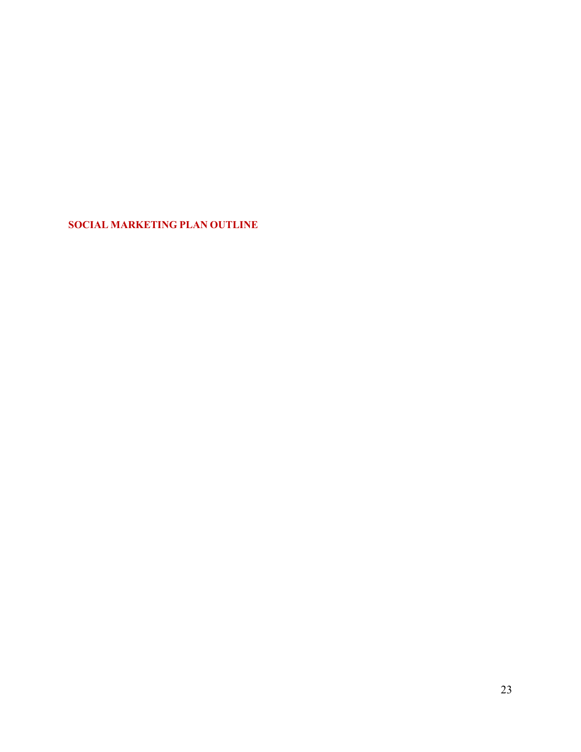**SOCIAL MARKETING PLAN OUTLINE**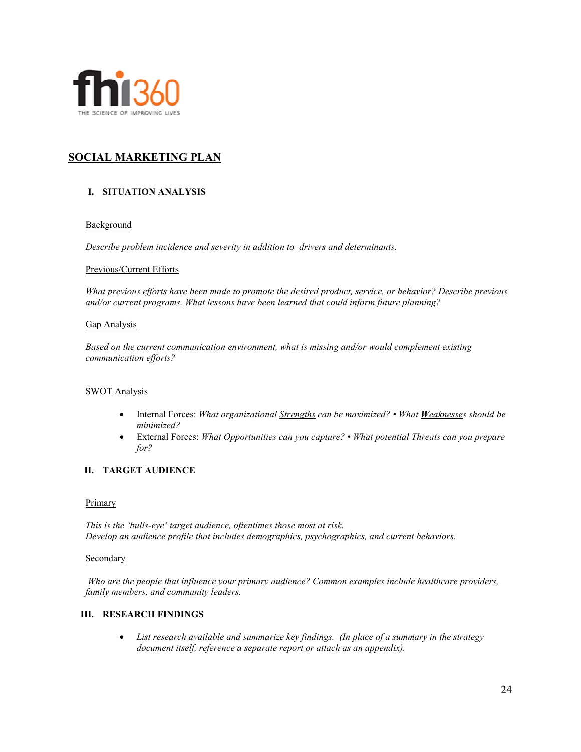

### **SOCIAL MARKETING PLAN**

### **I. SITUATION ANALYSIS**

### **Background**

*Describe problem incidence and severity in addition to drivers and determinants.*

### Previous/Current Efforts

*What previous efforts have been made to promote the desired product, service, or behavior? Describe previous and/or current programs. What lessons have been learned that could inform future planning?* 

### Gap Analysis

*Based on the current communication environment, what is missing and/or would complement existing communication efforts?* 

### SWOT Analysis

- Internal Forces: *What organizational Strengths can be maximized? What Weaknesses should be minimized?*
- External Forces: *What Opportunities can you capture? What potential Threats can you prepare for?*

### **II. TARGET AUDIENCE**

### **Primary**

*This is the 'bulls-eye' target audience, oftentimes those most at risk. Develop an audience profile that includes demographics, psychographics, and current behaviors.* 

### **Secondary**

*Who are the people that influence your primary audience? Common examples include healthcare providers, family members, and community leaders.*

### **III. RESEARCH FINDINGS**

• *List research available and summarize key findings. (In place of a summary in the strategy document itself, reference a separate report or attach as an appendix).*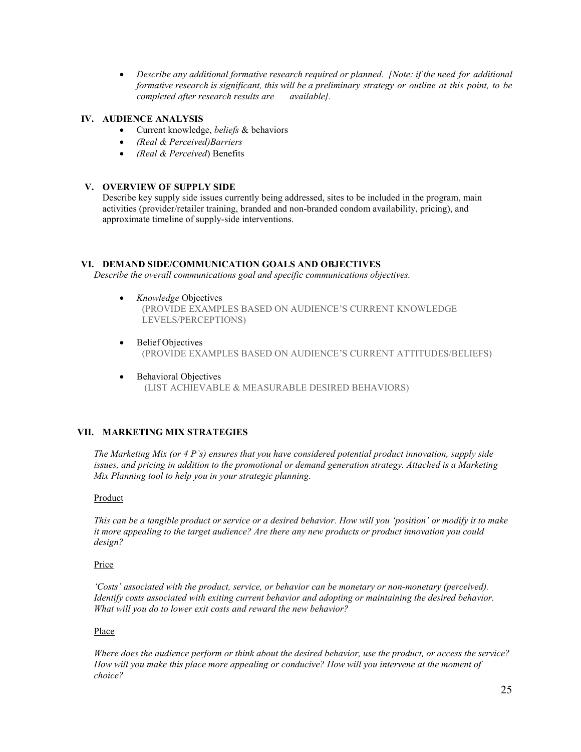• *Describe any additional formative research required or planned. [Note: if the need for additional formative research is significant, this will be a preliminary strategy or outline at this point, to be completed after research results are available].* 

### **IV. AUDIENCE ANALYSIS**

- Current knowledge, *beliefs* & behaviors
- *(Real & Perceived)Barriers*
- *(Real & Perceived*) Benefits

### **V. OVERVIEW OF SUPPLY SIDE**

Describe key supply side issues currently being addressed, sites to be included in the program, main activities (provider/retailer training, branded and non-branded condom availability, pricing), and approximate timeline of supply-side interventions.

### **VI. DEMAND SIDE/COMMUNICATION GOALS AND OBJECTIVES**

*Describe the overall communications goal and specific communications objectives.* 

- *Knowledge* Objectives
	- (PROVIDE EXAMPLES BASED ON AUDIENCE'S CURRENT KNOWLEDGE LEVELS/PERCEPTIONS)
- **Belief Objectives** (PROVIDE EXAMPLES BASED ON AUDIENCE'S CURRENT ATTITUDES/BELIEFS)
- Behavioral Objectives (LIST ACHIEVABLE & MEASURABLE DESIRED BEHAVIORS)

### **VII. MARKETING MIX STRATEGIES**

*The Marketing Mix (or 4 P's) ensures that you have considered potential product innovation, supply side issues, and pricing in addition to the promotional or demand generation strategy. Attached is a Marketing Mix Planning tool to help you in your strategic planning.* 

### Product

*This can be a tangible product or service or a desired behavior. How will you 'position' or modify it to make it more appealing to the target audience? Are there any new products or product innovation you could design?* 

### Price

*'Costs' associated with the product, service, or behavior can be monetary or non-monetary (perceived). Identify costs associated with exiting current behavior and adopting or maintaining the desired behavior. What will you do to lower exit costs and reward the new behavior?* 

### Place

*Where does the audience perform or think about the desired behavior, use the product, or access the service? How will you make this place more appealing or conducive? How will you intervene at the moment of choice?*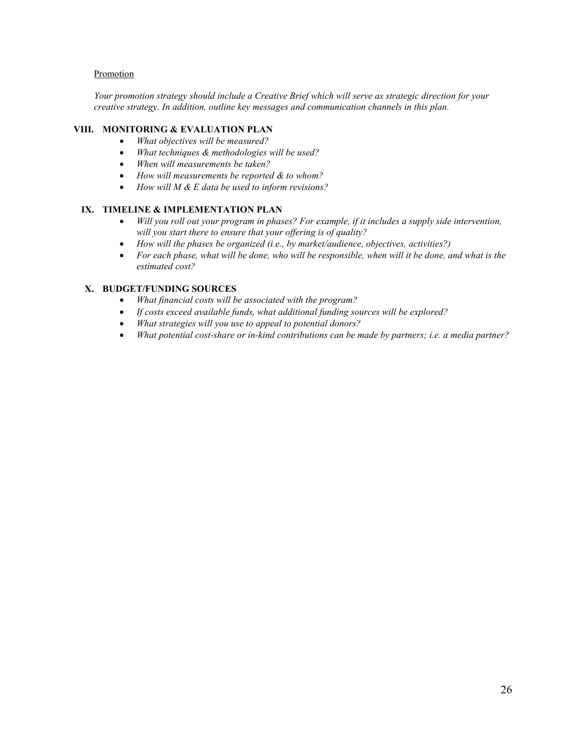### **Promotion**

*Your promotion strategy should include a Creative Brief which will serve as strategic direction for your creative strategy. In addition, outline key messages and communication channels in this plan.* 

### **VIII. MONITORING & EVALUATION PLAN**

- *What objectives will be measured?*
- *What techniques & methodologies will be used?*
- *When will measurements be taken?*
- *How will measurements be reported & to whom?*
- *How will M & E data be used to inform revisions?*

### **IX. TIMELINE & IMPLEMENTATION PLAN**

- *Will you roll out your program in phases? For example, if it includes a supply side intervention, will you start there to ensure that your offering is of quality?*
- *How will the phases be organized (i.e., by market/audience, objectives, activities?)*
- *For each phase, what will be done, who will be responsible, when will it be done, and what is the estimated cost?*

### **X. BUDGET/FUNDING SOURCES**

- *What financial costs will be associated with the program?*
- *If costs exceed available funds, what additional funding sources will be explored?*
- *What strategies will you use to appeal to potential donors?*
- *What potential cost-share or in-kind contributions can be made by partners; i.e. a media partner?*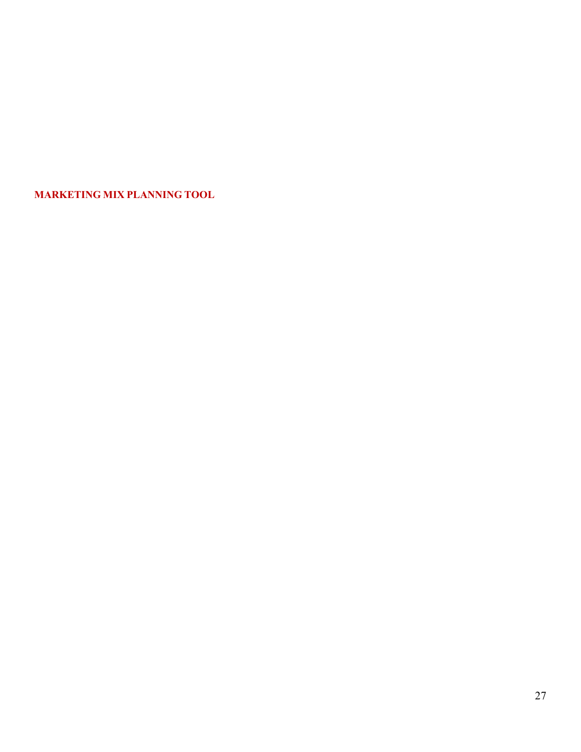**MARKETING MIX PLANNING TOOL**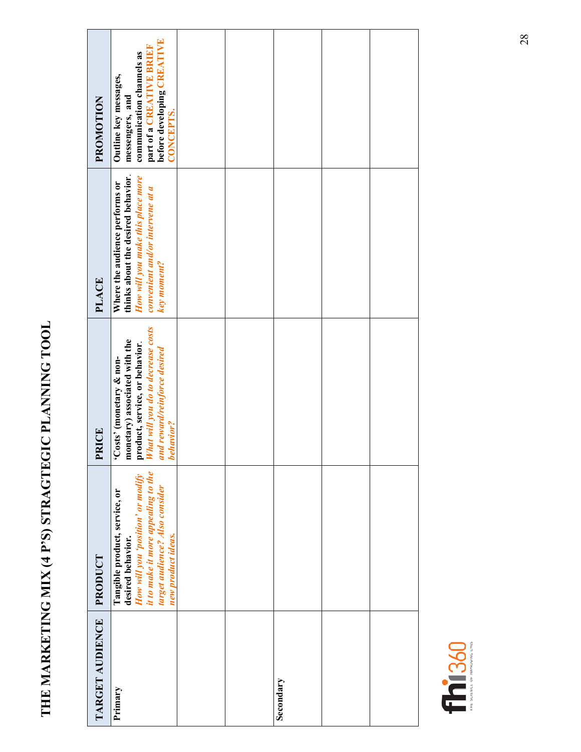# **THE MARKETING MIX (4 P'S) STRAGTEGIC PLANNING TOOL**  THE MARKETING MIX (4 P'S) STRAGTEGIC PLANNING TOOL

| PROMOTION       | before developing CREATIVE<br>part of a CREATIVE BRIEF<br>communication channels as<br>Outline key messages,<br>messengers, and<br>CONCEPTS.                                           |  |           |  |
|-----------------|----------------------------------------------------------------------------------------------------------------------------------------------------------------------------------------|--|-----------|--|
| PLACE           | thinks about the desired behavior.<br>How will you make this place more<br>Where the audience performs or<br>convenient and/or intervene at a<br>key moment?                           |  |           |  |
| PRICE           | product, service, or behavior.<br><i>What will you do to decrease costs</i><br>monetary) associated with the<br>and reward/reinforce desired<br>'Costs' (monetary & non-<br>behavior?  |  |           |  |
| PRODUCT         | it to make it more appealing to the<br>How will you 'position' or modify<br>target audience? Also consider<br>Tangible product, service, or<br>new product ideas.<br>desired behavior. |  |           |  |
| TARGET AUDIENCE | Primary                                                                                                                                                                                |  | Secondary |  |

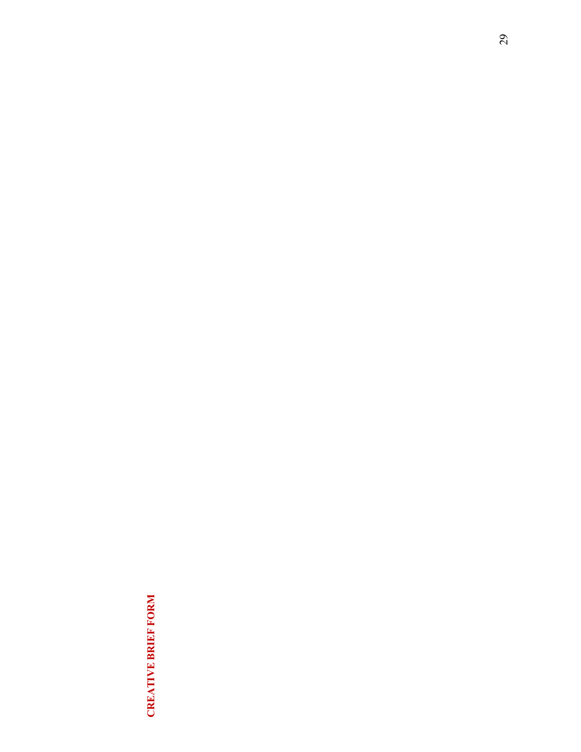### **CREATIVE BRIEF FORM CREATIVE BRIEF FORM**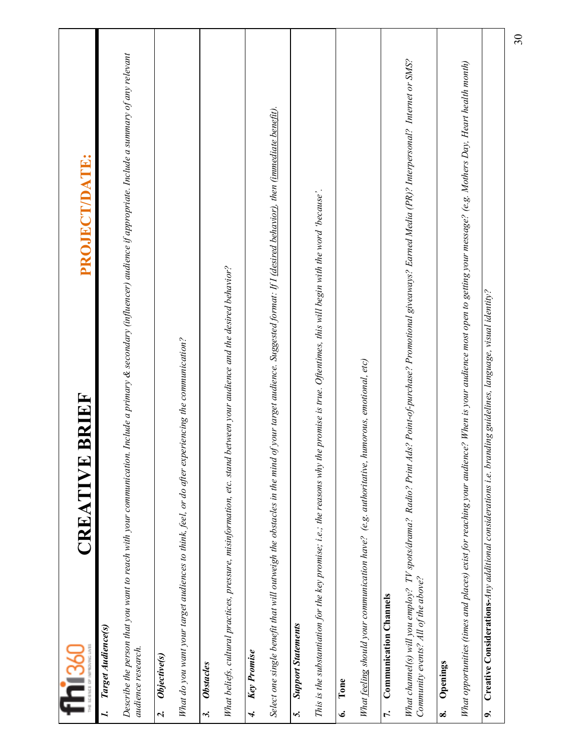| fhi <sub>360</sub>                       | <b>BRIEF</b><br>CREATIVE                                                                                                                                                     | PROJECT/DATE:   |
|------------------------------------------|------------------------------------------------------------------------------------------------------------------------------------------------------------------------------|-----------------|
| Target Audience(s)<br>audience research. | Describe the person that you want to reach with your communication. Include a primary & secondary (influencer) audience if appropriate. Include a summary of any relevant    |                 |
| Objective(s)<br>$\mathbf{a}$             |                                                                                                                                                                              |                 |
|                                          | What do you want your target audiences to think, feel, or do after experiencing the communication?                                                                           |                 |
| <b>Obstacles</b><br>$\ddot{ }$           |                                                                                                                                                                              |                 |
|                                          | What beliefs, cultural practices, pressure, misinformation, etc. stand between your audience and the desired behavior?                                                       |                 |
| Key Promise<br>$\overline{r}$            |                                                                                                                                                                              |                 |
|                                          | Select one single benefit that will outweigh the obstacles in the mind of your target audience. Suggested format: If I <u>(desired behavior)</u> , then (immediate benefit). |                 |
| <b>Support Statements</b><br>5.          |                                                                                                                                                                              |                 |
|                                          | This is the substantiation for the key promise; i.e.; the reasons why the promise is true. Oftentimes, this will begin with the word 'because'.                              |                 |
| Tone<br>نی                               |                                                                                                                                                                              |                 |
|                                          | What feeling should your communication have? (e.g. authoritative, humorous, emotional, etc)                                                                                  |                 |
| <b>Communication Channels</b><br>r.      |                                                                                                                                                                              |                 |
| Community events? All of the above?      | What channel(s) will you employ? TV spots/drama? Radio? Print Ads? Point-of-purchase? Promotional giveaways? Earned Media (PR)? Interpersonal? Internet or SMS?              |                 |
| Openings<br>$\dot{\infty}$               |                                                                                                                                                                              |                 |
|                                          | What opportunities (times and places) exist for reaching your audience? When is your audience most open to getting your message? (e.g. Mothers Day, Heart health month)      |                 |
| G.                                       | Creative Considerations-Any additional considerations i.e. branding guidelines, language, visual identity?                                                                   |                 |
|                                          |                                                                                                                                                                              | $\overline{30}$ |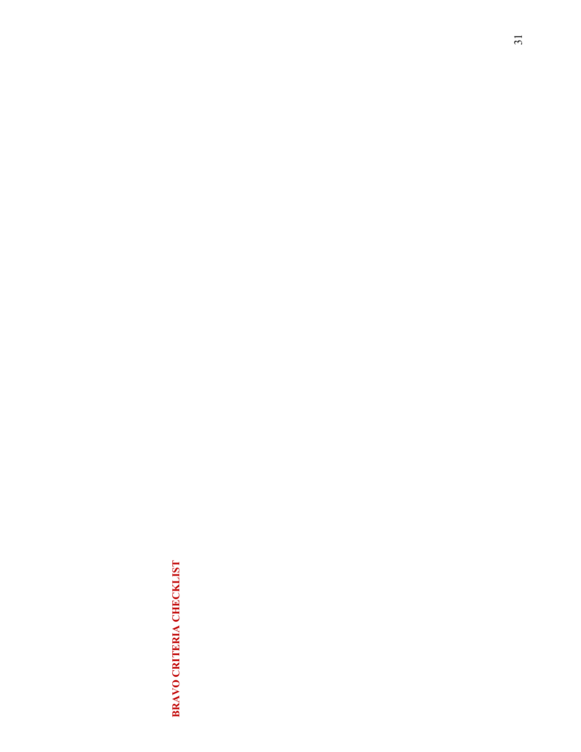### BRAVO CRITERIA CHECKLIST **BRAVO CRITERIA CHECKLIST**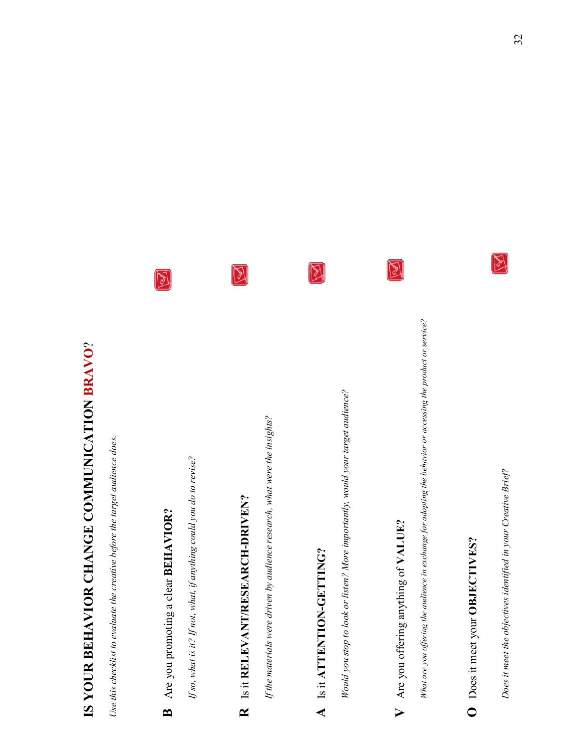# IS YOUR BEHAVIOR CHANGE COMMUNICATION BRAVO? **IS YOUR BEHAVIOR CHANGE COMMUNICATION BRAVO**?

*Use this checklist to evaluate the creative before the target audience does.*  Use this checklist to evaluate the creative before the target audience does.

# B Are you promoting a clear BEHAVIOR? **B** Are you promoting a clear **BEHAVIOR?**

 $\boxtimes$ 

*If so, what is it? If not, what, if anything could you do to revise?*  If so, what is it? If not, what, if anything could you do to revise?

# **R** Is it **RELEVANT/RESEARCH-DRIVEN?**  R Is it RELEVANT/RESEARCH-DRIVEN?

 $\boxtimes$ 

If the materials were driven by audience research, what were the insights? *If the materials were driven by audience research, what were the insights?* 

### A Is it ATTENTION-GETTING? **A** Is it **ATTENTION-GETTING?**

図

Would you stop to look or listen? More importantly, would your target audience? *Would you stop to look or listen? More importantly, would your target audience?* 

## V Are you offering anything of VALUE? **V** Are you offering anything of **VALUE?**

 $\boxtimes$ 

What are you offering the audience in exchange for adopting the behavior or accessing the product or service? *What are you offering the audience in exchange for adopting the behavior or accessing the product or service?* 

### O Does it meet your OBJECTIVES? **O** Does it meet your **OBJECTIVES?**

*Does it meet the objectives identified in your Creative Brief?* Does it meet the objectives identified in your Creative Brief?

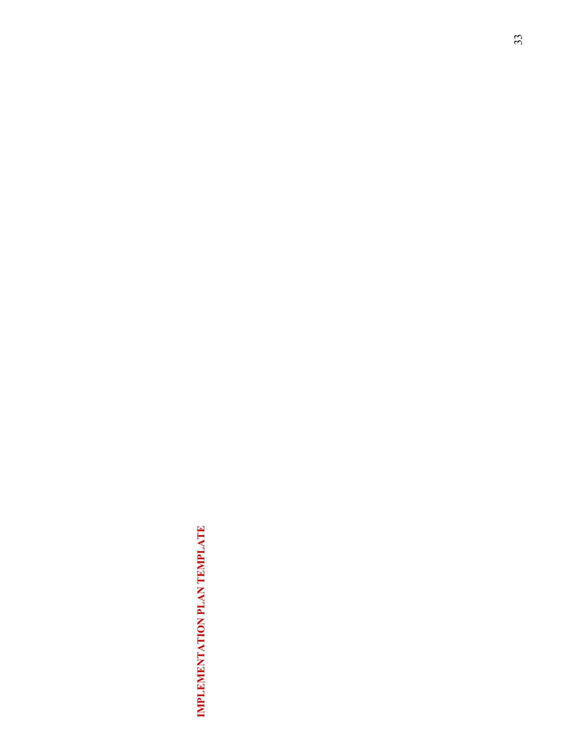## IMPLEMENTATION PLAN TEMPLATE **IMPLEMENTATION PLAN TEMPLATE**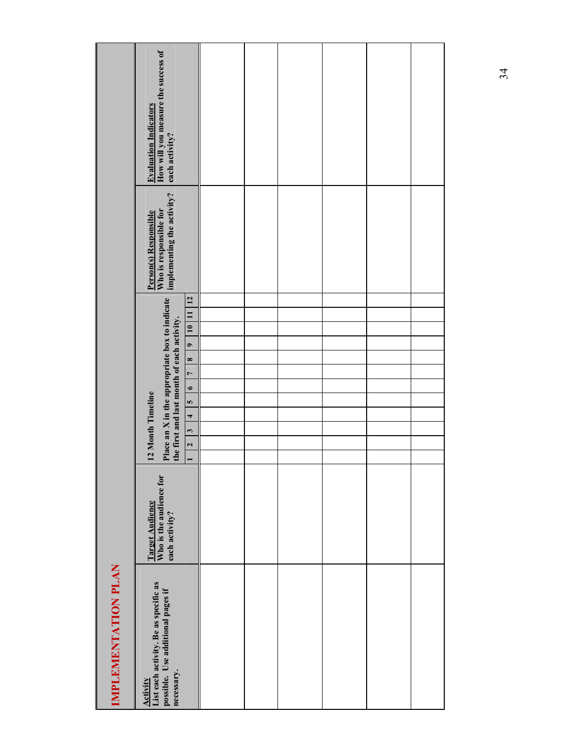|                     | How will you measure the success of<br><b>Evaluation Indicators</b><br>each activity?                            |                                                                                                                                                       |  |  |  |
|---------------------|------------------------------------------------------------------------------------------------------------------|-------------------------------------------------------------------------------------------------------------------------------------------------------|--|--|--|
|                     | implementing the activity?<br>Who is responsible for<br>Person(s) Responsible                                    |                                                                                                                                                       |  |  |  |
|                     | Place an X in the appropriate box to indicate<br>the first and last month of each activity.<br>12 Month Timeline | 12<br>10 11<br>$\bullet$<br>$\frac{8}{1}$<br>$\overline{z}$<br>$\bullet$<br>$\frac{1}{2}$<br>$\overline{a}$<br>$\ddot{\phantom{0}}$<br>$\overline{c}$ |  |  |  |
|                     | Target Audience<br>Who is the audience for<br>each activity?                                                     |                                                                                                                                                       |  |  |  |
| IMPLEMENTATION PLAN | List each activity. Be as specific as<br>possible. Use additional pages if<br>necessary.<br>Activity             |                                                                                                                                                       |  |  |  |

34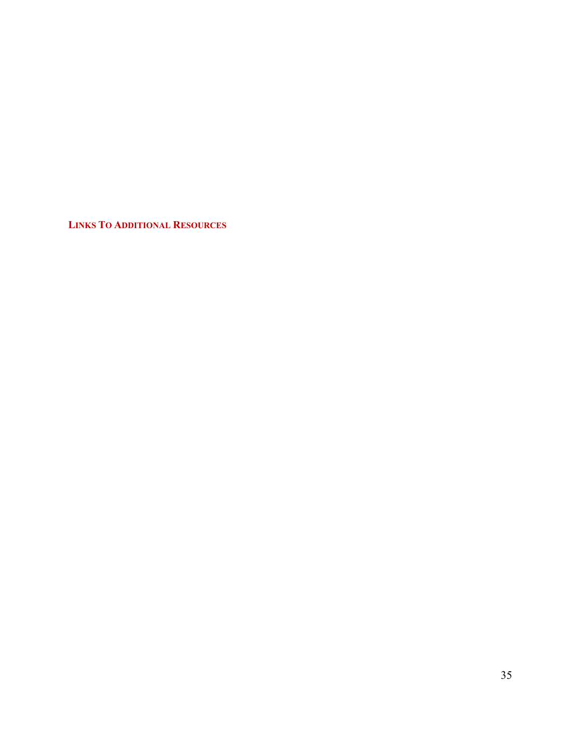**LINKS TO ADDITIONAL RESOURCES**